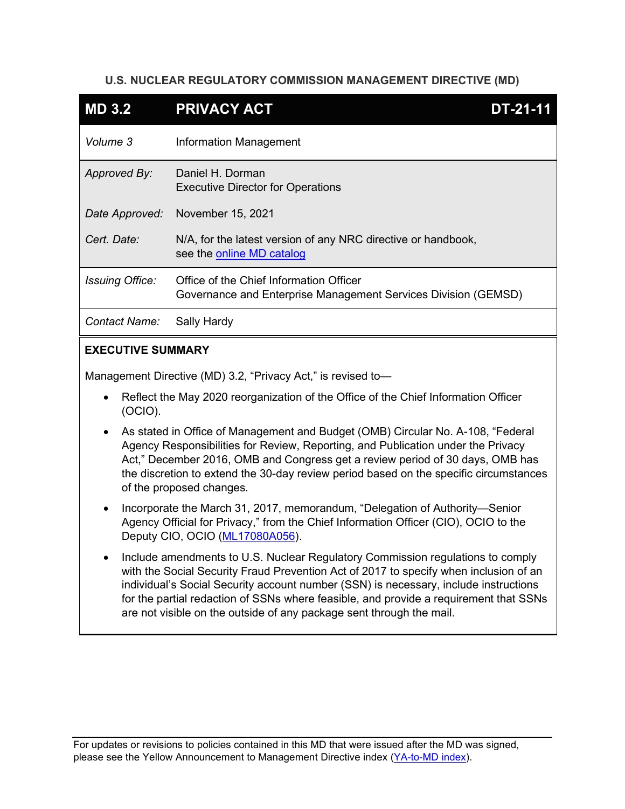### **U.S. NUCLEAR REGULATORY COMMISSION MANAGEMENT DIRECTIVE (MD)**

| <b>MD 3.2</b>          | <b>PRIVACY ACT</b>                                                                                        | <b>DT-21-11</b> |
|------------------------|-----------------------------------------------------------------------------------------------------------|-----------------|
| Volume 3               | <b>Information Management</b>                                                                             |                 |
| Approved By:           | Daniel H. Dorman<br><b>Executive Director for Operations</b>                                              |                 |
| Date Approved:         | November 15, 2021                                                                                         |                 |
| Cert. Date:            | N/A, for the latest version of any NRC directive or handbook,<br>see the online MD catalog                |                 |
| <b>Issuing Office:</b> | Office of the Chief Information Officer<br>Governance and Enterprise Management Services Division (GEMSD) |                 |
| Contact Name:          | Sally Hardy                                                                                               |                 |
|                        |                                                                                                           |                 |

### **EXECUTIVE SUMMARY**

Management Directive (MD) 3.2, "Privacy Act," is revised to—

- Reflect the May 2020 reorganization of the Office of the Chief Information Officer (OCIO).
- As stated in Office of Management and Budget (OMB) Circular No. A-108, "Federal Agency Responsibilities for Review, Reporting, and Publication under the Privacy Act," December 2016, OMB and Congress get a review period of 30 days, OMB has the discretion to extend the 30-day review period based on the specific circumstances of the proposed changes.
- Incorporate the March 31, 2017, memorandum, "Delegation of Authority—Senior Agency Official for Privacy," from the Chief Information Officer (CIO), OCIO to the Deputy CIO, OCIO [\(ML17080A056\)](https://adamsxt.nrc.gov/navigator/AdamsXT/content/downloadContent.faces?objectStoreName=MainLibrary&vsId=%7bF034578A-F4DA-4B7C-81EA-C9B2BCF23FC2%7d&ForceBrowserDownloadMgrPrompt=false).
- Include amendments to U.S. Nuclear Regulatory Commission regulations to comply with the Social Security Fraud Prevention Act of 2017 to specify when inclusion of an individual's Social Security account number (SSN) is necessary, include instructions for the partial redaction of SSNs where feasible, and provide a requirement that SSNs are not visible on the outside of any package sent through the mail.

For updates or revisions to policies contained in this MD that were issued after the MD was signed, please see the Yellow Announcement to Management Directive index [\(YA-to-MD index\)](https://usnrc.sharepoint.com/teams/ADM-PMDA-Management-Directives/Lists/yellowtoMD_index/AllItems.aspx).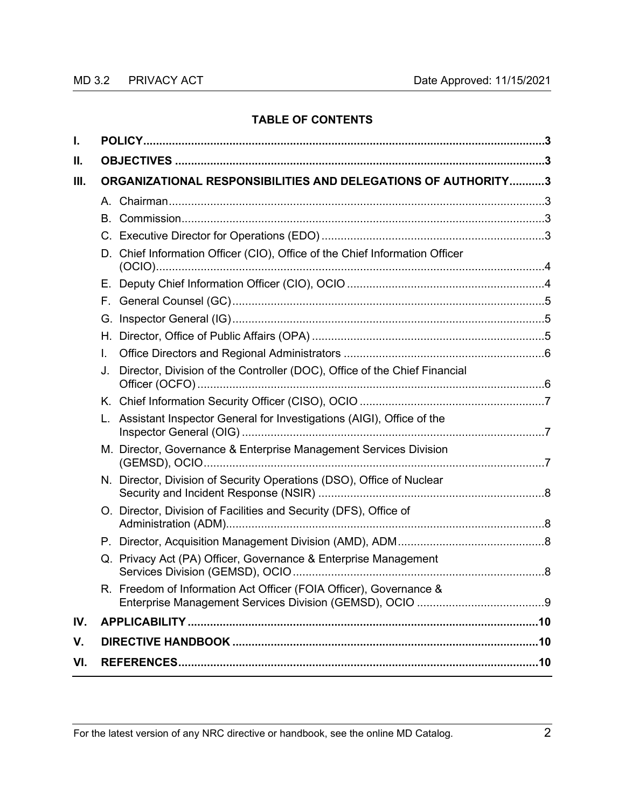### **TABLE OF CONTENTS**

| I.  |    |                                                                             |  |
|-----|----|-----------------------------------------------------------------------------|--|
| Н.  |    |                                                                             |  |
| Ш.  |    | ORGANIZATIONAL RESPONSIBILITIES AND DELEGATIONS OF AUTHORITY3               |  |
|     |    |                                                                             |  |
|     | В. |                                                                             |  |
|     |    |                                                                             |  |
|     |    | D. Chief Information Officer (CIO), Office of the Chief Information Officer |  |
|     |    |                                                                             |  |
|     | F. |                                                                             |  |
|     | G. |                                                                             |  |
|     | Н. |                                                                             |  |
|     | I. |                                                                             |  |
|     | J. | Director, Division of the Controller (DOC), Office of the Chief Financial   |  |
|     |    |                                                                             |  |
|     |    | Assistant Inspector General for Investigations (AIGI), Office of the        |  |
|     |    | M. Director, Governance & Enterprise Management Services Division           |  |
|     |    | N. Director, Division of Security Operations (DSO), Office of Nuclear       |  |
|     |    | O. Director, Division of Facilities and Security (DFS), Office of           |  |
|     |    |                                                                             |  |
|     | Q. | Privacy Act (PA) Officer, Governance & Enterprise Management                |  |
|     |    | R. Freedom of Information Act Officer (FOIA Officer), Governance &          |  |
| IV. |    |                                                                             |  |
| V.  |    |                                                                             |  |
| VI. |    |                                                                             |  |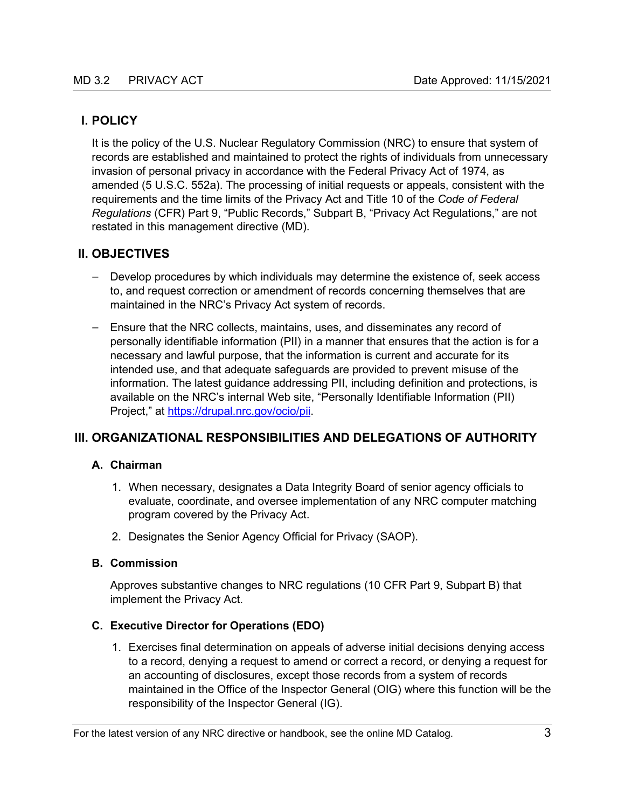### <span id="page-2-0"></span>**I. POLICY**

It is the policy of the U.S. Nuclear Regulatory Commission (NRC) to ensure that system of records are established and maintained to protect the rights of individuals from unnecessary invasion of personal privacy in accordance with the Federal Privacy Act of 1974, as amended (5 U.S.C. 552a). The processing of initial requests or appeals, consistent with the requirements and the time limits of the Privacy Act and Title 10 of the *Code of Federal Regulations* (CFR) Part 9, "Public Records," Subpart B, "Privacy Act Regulations," are not restated in this management directive (MD).

### <span id="page-2-1"></span>**II. OBJECTIVES**

- Develop procedures by which individuals may determine the existence of, seek access to, and request correction or amendment of records concerning themselves that are maintained in the NRC's Privacy Act system of records.
- Ensure that the NRC collects, maintains, uses, and disseminates any record of personally identifiable information (PII) in a manner that ensures that the action is for a necessary and lawful purpose, that the information is current and accurate for its intended use, and that adequate safeguards are provided to prevent misuse of the information. The latest guidance addressing PII, including definition and protections, is available on the NRC's internal Web site, "Personally Identifiable Information (PII) Project," at [https://drupal.nrc.gov/ocio/pii.](https://drupal.nrc.gov/ocio/pii)

### <span id="page-2-3"></span><span id="page-2-2"></span>**III. ORGANIZATIONAL RESPONSIBILITIES AND DELEGATIONS OF AUTHORITY**

### **A. Chairman**

- 1. When necessary, designates a Data Integrity Board of senior agency officials to evaluate, coordinate, and oversee implementation of any NRC computer matching program covered by the Privacy Act.
- 2. Designates the Senior Agency Official for Privacy (SAOP).

### <span id="page-2-4"></span>**B. Commission**

Approves substantive changes to NRC regulations (10 CFR Part 9, Subpart B) that implement the Privacy Act.

### <span id="page-2-5"></span>**C. Executive Director for Operations (EDO)**

1. Exercises final determination on appeals of adverse initial decisions denying access to a record, denying a request to amend or correct a record, or denying a request for an accounting of disclosures, except those records from a system of records maintained in the Office of the Inspector General (OIG) where this function will be the responsibility of the Inspector General (IG).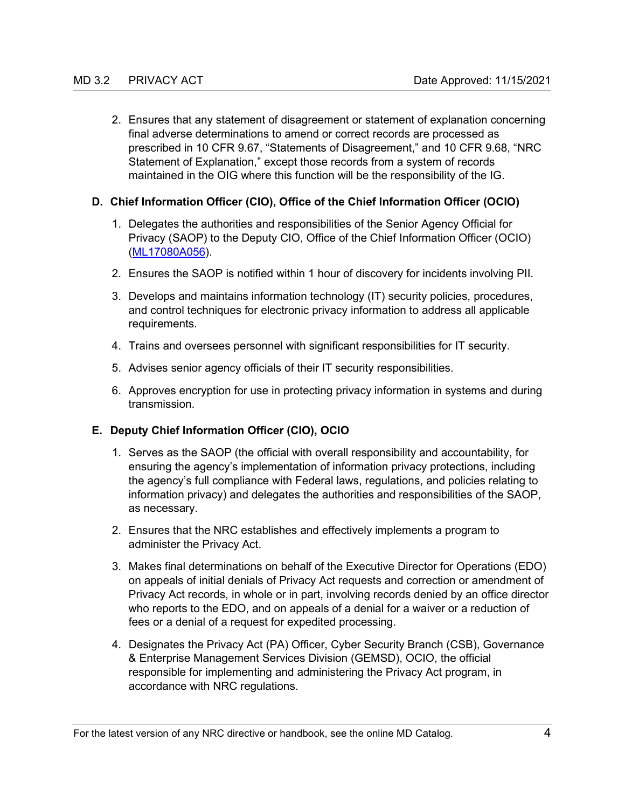2. Ensures that any statement of disagreement or statement of explanation concerning final adverse determinations to amend or correct records are processed as prescribed in 10 CFR 9.67, "Statements of Disagreement," and 10 CFR 9.68, "NRC Statement of Explanation," except those records from a system of records maintained in the OIG where this function will be the responsibility of the IG.

### <span id="page-3-0"></span>**D. Chief Information Officer (CIO), Office of the Chief Information Officer (OCIO)**

- 1. Delegates the authorities and responsibilities of the Senior Agency Official for Privacy (SAOP) to the Deputy CIO, Office of the Chief Information Officer (OCIO) [\(ML17080A056\)](https://adamsxt.nrc.gov/navigator/AdamsXT/content/downloadContent.faces?objectStoreName=MainLibrary&vsId=%7bF034578A-F4DA-4B7C-81EA-C9B2BCF23FC2%7d&ForceBrowserDownloadMgrPrompt=false).
- 2. Ensures the SAOP is notified within 1 hour of discovery for incidents involving PII.
- 3. Develops and maintains information technology (IT) security policies, procedures, and control techniques for electronic privacy information to address all applicable requirements.
- 4. Trains and oversees personnel with significant responsibilities for IT security.
- 5. Advises senior agency officials of their IT security responsibilities.
- 6. Approves encryption for use in protecting privacy information in systems and during transmission.

### <span id="page-3-1"></span>**E. Deputy Chief Information Officer (CIO), OCIO**

- 1. Serves as the SAOP (the official with overall responsibility and accountability, for ensuring the agency's implementation of information privacy protections, including the agency's full compliance with Federal laws, regulations, and policies relating to information privacy) and delegates the authorities and responsibilities of the SAOP, as necessary.
- 2. Ensures that the NRC establishes and effectively implements a program to administer the Privacy Act.
- 3. Makes final determinations on behalf of the Executive Director for Operations (EDO) on appeals of initial denials of Privacy Act requests and correction or amendment of Privacy Act records, in whole or in part, involving records denied by an office director who reports to the EDO, and on appeals of a denial for a waiver or a reduction of fees or a denial of a request for expedited processing.
- 4. Designates the Privacy Act (PA) Officer, Cyber Security Branch (CSB), Governance & Enterprise Management Services Division (GEMSD), OCIO, the official responsible for implementing and administering the Privacy Act program, in accordance with NRC regulations.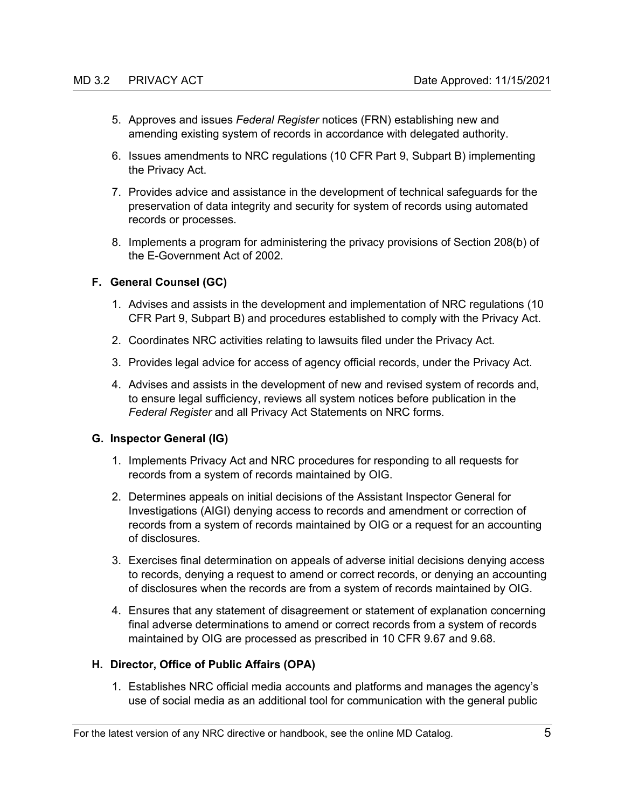- 5. Approves and issues *Federal Register* notices (FRN) establishing new and amending existing system of records in accordance with delegated authority.
- 6. Issues amendments to NRC regulations (10 CFR Part 9, Subpart B) implementing the Privacy Act.
- 7. Provides advice and assistance in the development of technical safeguards for the preservation of data integrity and security for system of records using automated records or processes.
- 8. Implements a program for administering the privacy provisions of Section 208(b) of the E-Government Act of 2002.

### <span id="page-4-0"></span>**F. General Counsel (GC)**

- 1. Advises and assists in the development and implementation of NRC regulations (10 CFR Part 9, Subpart B) and procedures established to comply with the Privacy Act.
- 2. Coordinates NRC activities relating to lawsuits filed under the Privacy Act.
- 3. Provides legal advice for access of agency official records, under the Privacy Act.
- 4. Advises and assists in the development of new and revised system of records and, to ensure legal sufficiency, reviews all system notices before publication in the *Federal Register* and all Privacy Act Statements on NRC forms.

### <span id="page-4-1"></span>**G. Inspector General (IG)**

- 1. Implements Privacy Act and NRC procedures for responding to all requests for records from a system of records maintained by OIG.
- 2. Determines appeals on initial decisions of the Assistant Inspector General for Investigations (AIGI) denying access to records and amendment or correction of records from a system of records maintained by OIG or a request for an accounting of disclosures.
- 3. Exercises final determination on appeals of adverse initial decisions denying access to records, denying a request to amend or correct records, or denying an accounting of disclosures when the records are from a system of records maintained by OIG.
- 4. Ensures that any statement of disagreement or statement of explanation concerning final adverse determinations to amend or correct records from a system of records maintained by OIG are processed as prescribed in 10 CFR 9.67 and 9.68.

### <span id="page-4-2"></span>**H. Director, Office of Public Affairs (OPA)**

1. Establishes NRC official media accounts and platforms and manages the agency's use of social media as an additional tool for communication with the general public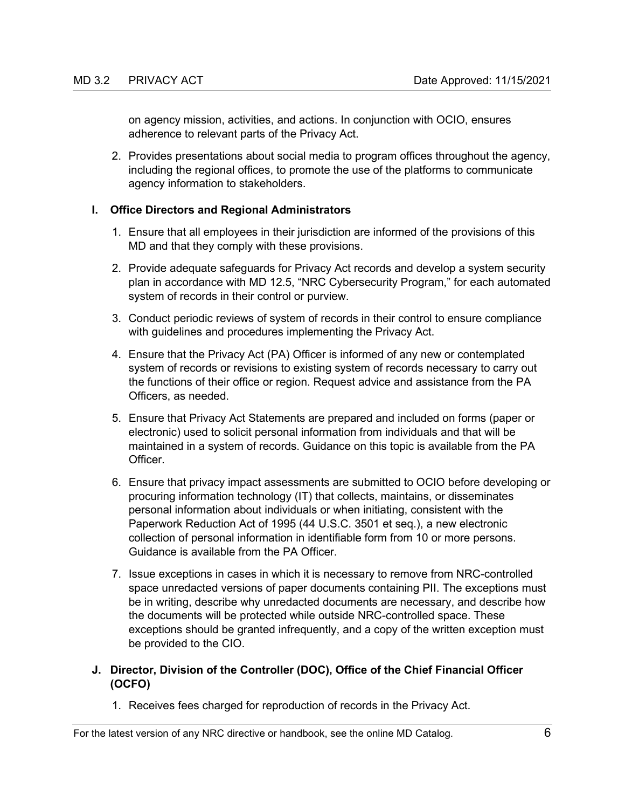on agency mission, activities, and actions. In conjunction with OCIO, ensures adherence to relevant parts of the Privacy Act.

2. Provides presentations about social media to program offices throughout the agency, including the regional offices, to promote the use of the platforms to communicate agency information to stakeholders.

#### <span id="page-5-0"></span>**I. Office Directors and Regional Administrators**

- 1. Ensure that all employees in their jurisdiction are informed of the provisions of this MD and that they comply with these provisions.
- 2. Provide adequate safeguards for Privacy Act records and develop a system security plan in accordance with MD 12.5, "NRC Cybersecurity Program," for each automated system of records in their control or purview.
- 3. Conduct periodic reviews of system of records in their control to ensure compliance with guidelines and procedures implementing the Privacy Act.
- 4. Ensure that the Privacy Act (PA) Officer is informed of any new or contemplated system of records or revisions to existing system of records necessary to carry out the functions of their office or region. Request advice and assistance from the PA Officers, as needed.
- 5. Ensure that Privacy Act Statements are prepared and included on forms (paper or electronic) used to solicit personal information from individuals and that will be maintained in a system of records. Guidance on this topic is available from the PA Officer.
- 6. Ensure that privacy impact assessments are submitted to OCIO before developing or procuring information technology (IT) that collects, maintains, or disseminates personal information about individuals or when initiating, consistent with the Paperwork Reduction Act of 1995 (44 U.S.C. 3501 et seq.), a new electronic collection of personal information in identifiable form from 10 or more persons. Guidance is available from the PA Officer.
- 7. Issue exceptions in cases in which it is necessary to remove from NRC-controlled space unredacted versions of paper documents containing PII. The exceptions must be in writing, describe why unredacted documents are necessary, and describe how the documents will be protected while outside NRC-controlled space. These exceptions should be granted infrequently, and a copy of the written exception must be provided to the CIO.
- <span id="page-5-1"></span>**J. Director, Division of the Controller (DOC), Office of the Chief Financial Officer (OCFO)**
	- 1. Receives fees charged for reproduction of records in the Privacy Act.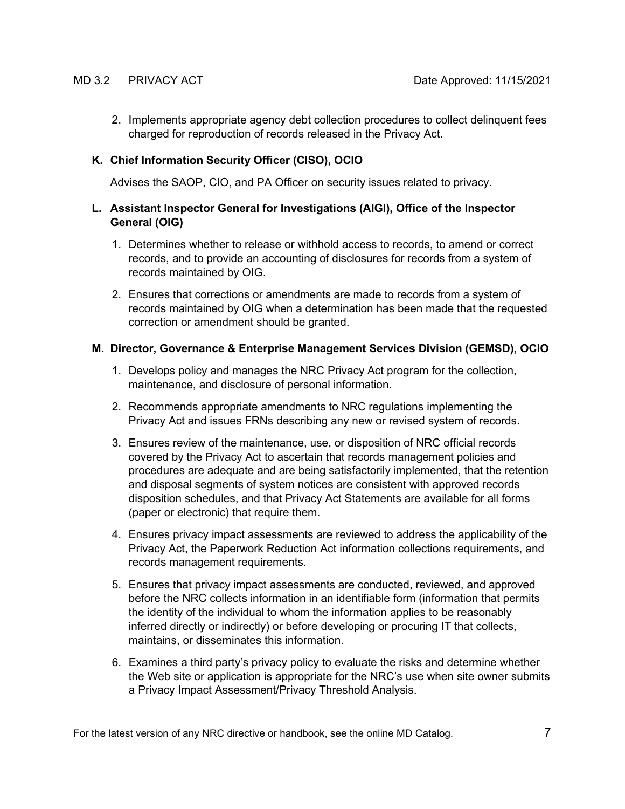2. Implements appropriate agency debt collection procedures to collect delinquent fees charged for reproduction of records released in the Privacy Act.

### <span id="page-6-0"></span>**K. Chief Information Security Officer (CISO), OCIO**

Advises the SAOP, CIO, and PA Officer on security issues related to privacy.

### <span id="page-6-1"></span>**L. Assistant Inspector General for Investigations (AIGI), Office of the Inspector General (OIG)**

- 1. Determines whether to release or withhold access to records, to amend or correct records, and to provide an accounting of disclosures for records from a system of records maintained by OIG.
- 2. Ensures that corrections or amendments are made to records from a system of records maintained by OIG when a determination has been made that the requested correction or amendment should be granted.

### <span id="page-6-2"></span>**M. Director, Governance & Enterprise Management Services Division (GEMSD), OCIO**

- 1. Develops policy and manages the NRC Privacy Act program for the collection, maintenance, and disclosure of personal information.
- 2. Recommends appropriate amendments to NRC regulations implementing the Privacy Act and issues FRNs describing any new or revised system of records.
- 3. Ensures review of the maintenance, use, or disposition of NRC official records covered by the Privacy Act to ascertain that records management policies and procedures are adequate and are being satisfactorily implemented, that the retention and disposal segments of system notices are consistent with approved records disposition schedules, and that Privacy Act Statements are available for all forms (paper or electronic) that require them.
- 4. Ensures privacy impact assessments are reviewed to address the applicability of the Privacy Act, the Paperwork Reduction Act information collections requirements, and records management requirements.
- 5. Ensures that privacy impact assessments are conducted, reviewed, and approved before the NRC collects information in an identifiable form (information that permits the identity of the individual to whom the information applies to be reasonably inferred directly or indirectly) or before developing or procuring IT that collects, maintains, or disseminates this information.
- 6. Examines a third party's privacy policy to evaluate the risks and determine whether the Web site or application is appropriate for the NRC's use when site owner submits a Privacy Impact Assessment/Privacy Threshold Analysis.

For the latest version of any NRC directive or handbook, see the online MD Catalog.  $\overline{7}$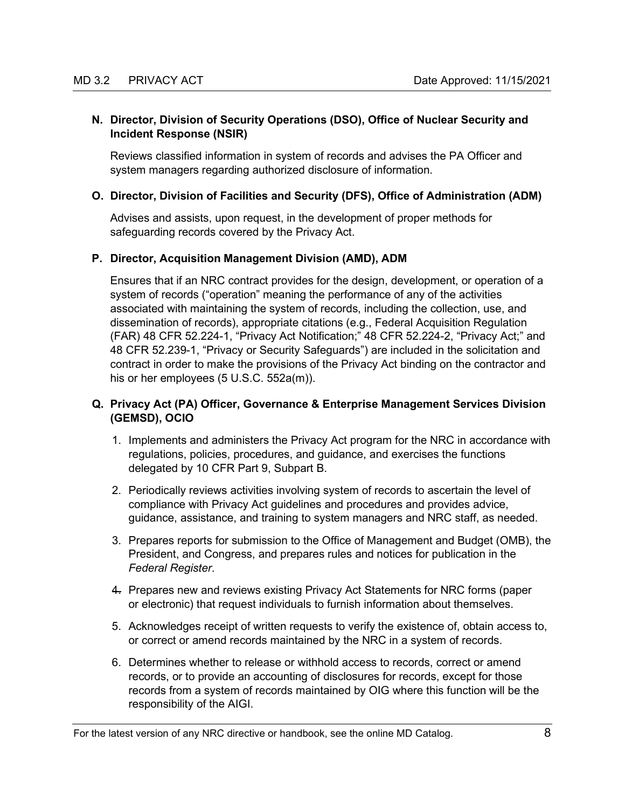### <span id="page-7-0"></span>**N. Director, Division of Security Operations (DSO), Office of Nuclear Security and Incident Response (NSIR)**

Reviews classified information in system of records and advises the PA Officer and system managers regarding authorized disclosure of information.

#### <span id="page-7-1"></span>**O. Director, Division of Facilities and Security (DFS), Office of Administration (ADM)**

Advises and assists, upon request, in the development of proper methods for safeguarding records covered by the Privacy Act.

#### <span id="page-7-2"></span>**P. Director, Acquisition Management Division (AMD), ADM**

Ensures that if an NRC contract provides for the design, development, or operation of a system of records ("operation" meaning the performance of any of the activities associated with maintaining the system of records, including the collection, use, and dissemination of records), appropriate citations (e.g., Federal Acquisition Regulation (FAR) 48 CFR 52.224-1, "Privacy Act Notification;" 48 CFR 52.224-2, "Privacy Act;" and 48 CFR 52.239-1, "Privacy or Security Safeguards") are included in the solicitation and contract in order to make the provisions of the Privacy Act binding on the contractor and his or her employees (5 U.S.C. 552a(m)).

### <span id="page-7-3"></span>**Q. Privacy Act (PA) Officer, Governance & Enterprise Management Services Division (GEMSD), OCIO**

- 1. Implements and administers the Privacy Act program for the NRC in accordance with regulations, policies, procedures, and guidance, and exercises the functions delegated by 10 CFR Part 9, Subpart B.
- 2. Periodically reviews activities involving system of records to ascertain the level of compliance with Privacy Act guidelines and procedures and provides advice, guidance, assistance, and training to system managers and NRC staff, as needed.
- 3. Prepares reports for submission to the Office of Management and Budget (OMB), the President, and Congress, and prepares rules and notices for publication in the *Federal Register*.
- 4. Prepares new and reviews existing Privacy Act Statements for NRC forms (paper or electronic) that request individuals to furnish information about themselves.
- 5. Acknowledges receipt of written requests to verify the existence of, obtain access to, or correct or amend records maintained by the NRC in a system of records.
- 6. Determines whether to release or withhold access to records, correct or amend records, or to provide an accounting of disclosures for records, except for those records from a system of records maintained by OIG where this function will be the responsibility of the AIGI.

For the latest version of any NRC directive or handbook, see the online MD Catalog.  $8$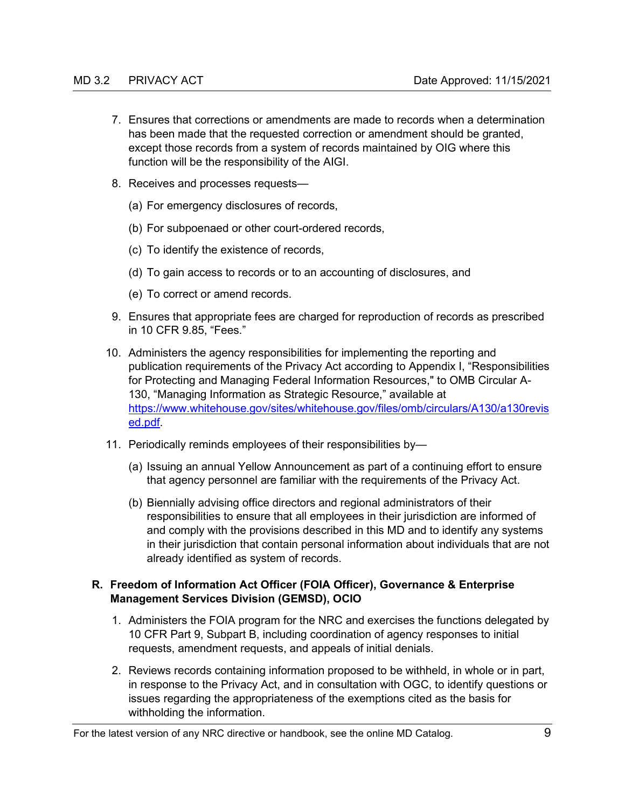- 7. Ensures that corrections or amendments are made to records when a determination has been made that the requested correction or amendment should be granted, except those records from a system of records maintained by OIG where this function will be the responsibility of the AIGI.
- 8. Receives and processes requests—
	- (a) For emergency disclosures of records,
	- (b) For subpoenaed or other court-ordered records,
	- (c) To identify the existence of records,
	- (d) To gain access to records or to an accounting of disclosures, and
	- (e) To correct or amend records.
- 9. Ensures that appropriate fees are charged for reproduction of records as prescribed in 10 CFR 9.85, "Fees."
- 10. Administers the agency responsibilities for implementing the reporting and publication requirements of the Privacy Act according to Appendix I, "Responsibilities for Protecting and Managing Federal Information Resources," to OMB Circular A-130, "Managing Information as Strategic Resource," available at [https://www.whitehouse.gov/sites/whitehouse.gov/files/omb/circulars/A130/a130revis](https://www.whitehouse.gov/sites/whitehouse.gov/files/omb/circulars/A130/a130revised.pdf) [ed.pdf.](https://www.whitehouse.gov/sites/whitehouse.gov/files/omb/circulars/A130/a130revised.pdf)
- 11. Periodically reminds employees of their responsibilities by—
	- (a) Issuing an annual Yellow Announcement as part of a continuing effort to ensure that agency personnel are familiar with the requirements of the Privacy Act.
	- (b) Biennially advising office directors and regional administrators of their responsibilities to ensure that all employees in their jurisdiction are informed of and comply with the provisions described in this MD and to identify any systems in their jurisdiction that contain personal information about individuals that are not already identified as system of records.

### <span id="page-8-0"></span>**R. Freedom of Information Act Officer (FOIA Officer), Governance & Enterprise Management Services Division (GEMSD), OCIO**

- 1. Administers the FOIA program for the NRC and exercises the functions delegated by 10 CFR Part 9, Subpart B, including coordination of agency responses to initial requests, amendment requests, and appeals of initial denials.
- 2. Reviews records containing information proposed to be withheld, in whole or in part, in response to the Privacy Act, and in consultation with OGC, to identify questions or issues regarding the appropriateness of the exemptions cited as the basis for withholding the information.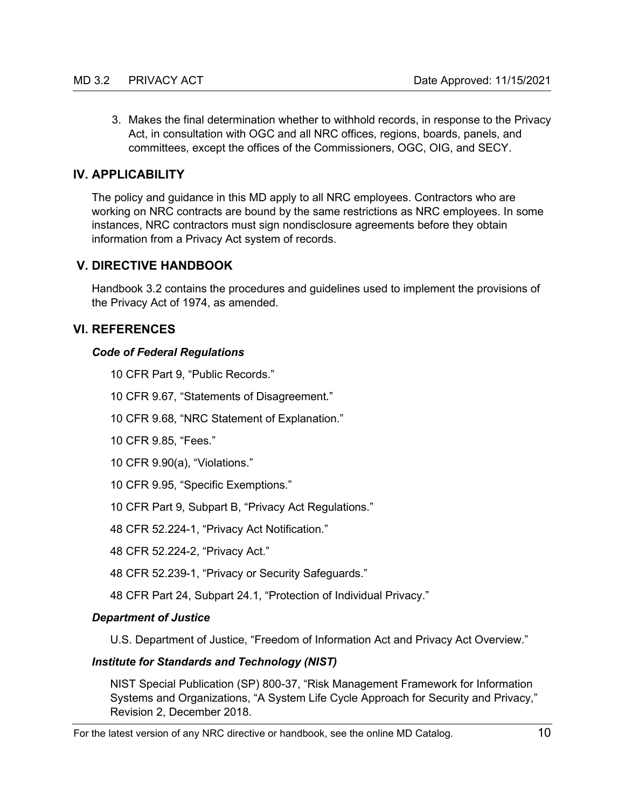3. Makes the final determination whether to withhold records, in response to the Privacy Act, in consultation with OGC and all NRC offices, regions, boards, panels, and committees, except the offices of the Commissioners, OGC, OIG, and SECY.

### <span id="page-9-0"></span>**IV. APPLICABILITY**

The policy and guidance in this MD apply to all NRC employees. Contractors who are working on NRC contracts are bound by the same restrictions as NRC employees. In some instances, NRC contractors must sign nondisclosure agreements before they obtain information from a Privacy Act system of records.

### <span id="page-9-1"></span>**V. DIRECTIVE HANDBOOK**

Handbook 3.2 contains the procedures and guidelines used to implement the provisions of the Privacy Act of 1974, as amended.

### <span id="page-9-2"></span>**VI. REFERENCES**

### *Code of Federal Regulations*

- 10 CFR Part 9, "Public Records."
- 10 CFR 9.67, "Statements of Disagreement."
- 10 CFR 9.68, "NRC Statement of Explanation."
- 10 CFR 9.85, "Fees."
- 10 CFR 9.90(a), "Violations."
- 10 CFR 9.95, "Specific Exemptions."
- 10 CFR Part 9, Subpart B, "Privacy Act Regulations."
- 48 CFR 52.224-1, "Privacy Act Notification."
- 48 CFR 52.224-2, "Privacy Act."
- 48 CFR 52.239-1, "Privacy or Security Safeguards."
- 48 CFR Part 24, Subpart 24.1, "Protection of Individual Privacy."

#### *Department of Justice*

U.S. Department of Justice, "Freedom of Information Act and Privacy Act Overview."

#### *Institute for Standards and Technology (NIST)*

NIST Special Publication (SP) 800-37, "Risk Management Framework for Information Systems and Organizations, "A System Life Cycle Approach for Security and Privacy," Revision 2, December 2018.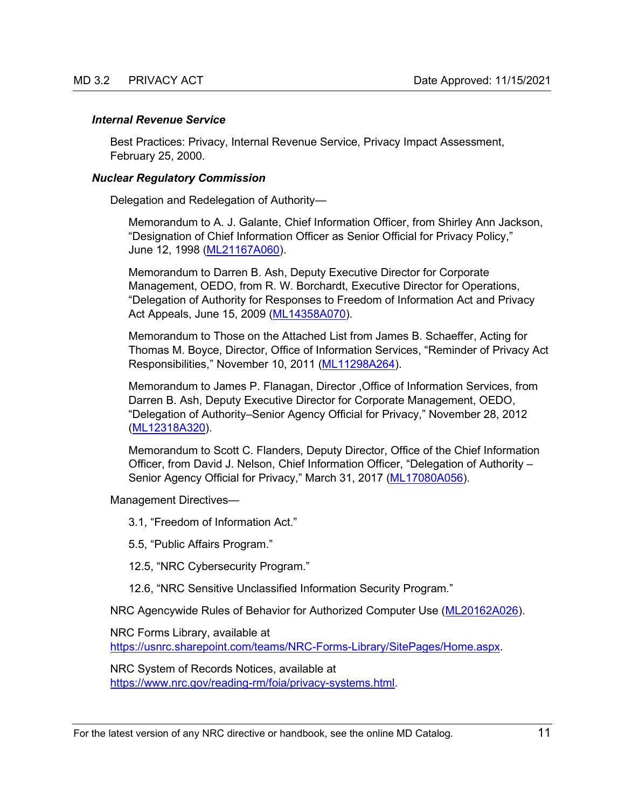#### *Internal Revenue Service*

Best Practices: Privacy, Internal Revenue Service, Privacy Impact Assessment, February 25, 2000.

#### *Nuclear Regulatory Commission*

Delegation and Redelegation of Authority—

Memorandum to A. J. Galante, Chief Information Officer, from Shirley Ann Jackson, "Designation of Chief Information Officer as Senior Official for Privacy Policy," June 12, 1998 [\(ML21167A060\)](https://adamsxt.nrc.gov/navigator/AdamsXT/content/downloadContent.faces?objectStoreName=MainLibrary&vsId=%7b570A2237-CC9B-CEFF-8FD9-7A14D0A00000%7d&ForceBrowserDownloadMgrPrompt=false).

Memorandum to Darren B. Ash, Deputy Executive Director for Corporate Management, OEDO, from R. W. Borchardt, Executive Director for Operations, "Delegation of Authority for Responses to Freedom of Information Act and Privacy Act Appeals, June 15, 2009 [\(ML14358A070\)](https://adamsxt.nrc.gov/navigator/AdamsXT/content/downloadContent.faces?objectStoreName=MainLibrary&vsId=%7b408B0A35-DD6C-4321-A996-D499CD62791F%7d&ForceBrowserDownloadMgrPrompt=false).

Memorandum to Those on the Attached List from James B. Schaeffer, Acting for Thomas M. Boyce, Director, Office of Information Services, "Reminder of Privacy Act Responsibilities," November 10, 2011 [\(ML11298A264\)](https://adamsxt.nrc.gov/WorkplaceXT/getContent?id=current&vsId=%7BBBE8A5F8-45E9-49FD-B056-2B68D736E1D8%7D&objectStoreName=Main.__.Library&objectType=document).

Memorandum to James P. Flanagan, Director ,Office of Information Services, from Darren B. Ash, Deputy Executive Director for Corporate Management, OEDO, "Delegation of Authority–Senior Agency Official for Privacy," November 28, 2012 [\(ML12318A320\)](https://adamsxt.nrc.gov/WorkplaceXT/getContent?id=current&vsId=%7BB86968BE-D230-4736-8963-657DFF02D9E3%7D&objectStoreName=Main.__.Library&objectType=document).

Memorandum to Scott C. Flanders, Deputy Director, Office of the Chief Information Officer, from David J. Nelson, Chief Information Officer, "Delegation of Authority – Senior Agency Official for Privacy," March 31, 2017 [\(ML17080A056\)](https://adamsxt.nrc.gov/navigator/AdamsXT/content/downloadContent.faces?objectStoreName=MainLibrary&vsId=%7bF034578A-F4DA-4B7C-81EA-C9B2BCF23FC2%7d&ForceBrowserDownloadMgrPrompt=false).

Management Directives—

3.1, "Freedom of Information Act."

5.5, "Public Affairs Program."

12.5, "NRC Cybersecurity Program."

12.6, "NRC Sensitive Unclassified Information Security Program."

NRC Agencywide Rules of Behavior for Authorized Computer Use [\(ML20162A026\)](https://adamsxt.nrc.gov/navigator/AdamsXT/content/downloadContent.faces?objectStoreName=MainLibrary&vsId=%7bB2A2B057-F31C-C797-85ED-729E3B600001%7d&ForceBrowserDownloadMgrPrompt=false).

NRC Forms Library, available at

[https://usnrc.sharepoint.com/teams/NRC-Forms-Library/SitePages/Home.aspx.](https://usnrc.sharepoint.com/teams/NRC-Forms-Library/SitePages/Home.aspx)

NRC System of Records Notices, available at [https://www.nrc.gov/reading-rm/foia/privacy-systems.html.](https://www.nrc.gov/reading-rm/foia/privacy-systems.html)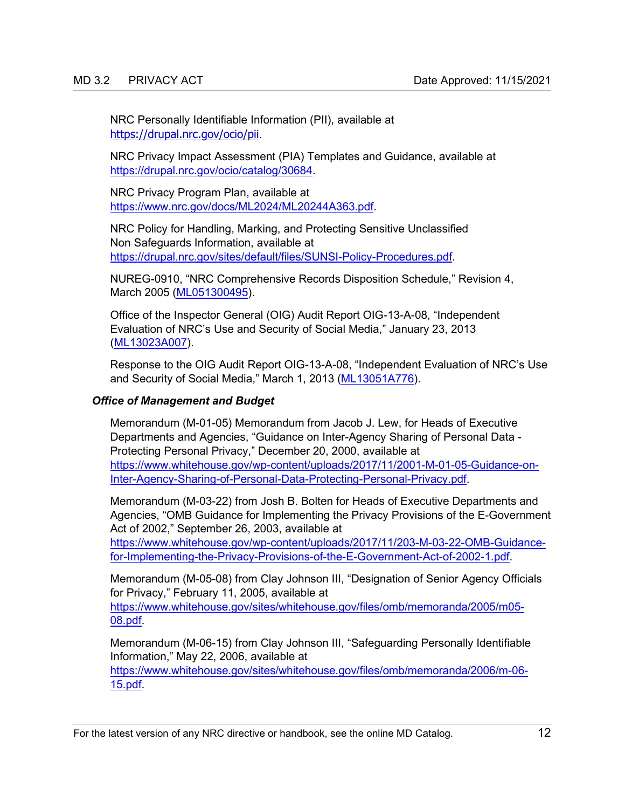NRC Personally Identifiable Information (PII), available at <https://drupal.nrc.gov/ocio/pii>.

NRC Privacy Impact Assessment (PIA) Templates and Guidance, available at [https://drupal.nrc.gov/ocio/catalog/30684.](https://drupal.nrc.gov/ocio/catalog/30684)

NRC Privacy Program Plan, available at [https://www.nrc.gov/docs/ML2024/ML20244A363.pdf.](https://www.nrc.gov/docs/ML2024/ML20244A363.pdf)

NRC Policy for Handling, Marking, and Protecting Sensitive Unclassified Non Safeguards Information, available at [https://drupal.nrc.gov/sites/default/files/SUNSI-Policy-Procedures.pdf.](https://drupal.nrc.gov/sites/default/files/SUNSI-Policy-Procedures.pdf)

NUREG-0910, "NRC Comprehensive Records Disposition Schedule," Revision 4, March 2005 [\(ML051300495\)](https://adamsxt.nrc.gov/navigator/AdamsXT/content/downloadContent.faces?objectStoreName=MainLibrary&vsId=%7b1F4C7D32-EDD7-4F3F-9B3A-6C3148C47B44%7d&ForceBrowserDownloadMgrPrompt=false).

Office of the Inspector General (OIG) Audit Report OIG-13-A-08, "Independent Evaluation of NRC's Use and Security of Social Media," January 23, 2013 [\(ML13023A007\)](https://adamsxt.nrc.gov/WorkplaceXT/getContent?id=current&vsId=%7B47EB5EFB-B3BD-4072-9BC1-471663B9345C%7D&objectStoreName=Main.__.Library&objectType=document).

Response to the OIG Audit Report OIG-13-A-08, "Independent Evaluation of NRC's Use and Security of Social Media," March 1, 2013 [\(ML13051A776\)](https://adamsxt.nrc.gov/WorkplaceXT/getContent?id=current&vsId=%7B676D5BCE-24A7-4CE5-AE4E-9C67D13E1D9F%7D&objectStoreName=Main.__.Library&objectType=document).

### *Office of Management and Budget*

Memorandum (M-01-05) Memorandum from Jacob J. Lew, for Heads of Executive Departments and Agencies, "Guidance on Inter-Agency Sharing of Personal Data - Protecting Personal Privacy," December 20, 2000, available at [https://www.whitehouse.gov/wp-content/uploads/2017/11/2001-M-01-05-Guidance-on-](https://www.whitehouse.gov/wp-content/uploads/2017/11/2001-M-01-05-Guidance-on-Inter-Agency-Sharing-of-Personal-Data-Protecting-Personal-Privacy.pdf)[Inter-Agency-Sharing-of-Personal-Data-Protecting-Personal-Privacy.pdf.](https://www.whitehouse.gov/wp-content/uploads/2017/11/2001-M-01-05-Guidance-on-Inter-Agency-Sharing-of-Personal-Data-Protecting-Personal-Privacy.pdf)

Memorandum (M-03-22) from Josh B. Bolten for Heads of Executive Departments and Agencies, "OMB Guidance for Implementing the Privacy Provisions of the E-Government Act of 2002," September 26, 2003, available at

[https://www.whitehouse.gov/wp-content/uploads/2017/11/203-M-03-22-OMB-Guidance](https://www.whitehouse.gov/wp-content/uploads/2017/11/203-M-03-22-OMB-Guidance-for-Implementing-the-Privacy-Provisions-of-the-E-Government-Act-of-2002-1.pdf)[for-Implementing-the-Privacy-Provisions-of-the-E-Government-Act-of-2002-1.pdf.](https://www.whitehouse.gov/wp-content/uploads/2017/11/203-M-03-22-OMB-Guidance-for-Implementing-the-Privacy-Provisions-of-the-E-Government-Act-of-2002-1.pdf)

Memorandum (M-05-08) from Clay Johnson III, "Designation of Senior Agency Officials for Privacy," February 11, 2005, available at [https://www.whitehouse.gov/sites/whitehouse.gov/files/omb/memoranda/2005/m05-](https://www.whitehouse.gov/sites/whitehouse.gov/files/omb/memoranda/2005/m05-08.pdf)

[08.pdf.](https://www.whitehouse.gov/sites/whitehouse.gov/files/omb/memoranda/2005/m05-08.pdf)

Memorandum (M-06-15) from Clay Johnson III, "Safeguarding Personally Identifiable Information," May 22, 2006, available at

[https://www.whitehouse.gov/sites/whitehouse.gov/files/omb/memoranda/2006/m-06-](https://www.whitehouse.gov/sites/whitehouse.gov/files/omb/memoranda/2006/m-06-15.pdf) [15.pdf.](https://www.whitehouse.gov/sites/whitehouse.gov/files/omb/memoranda/2006/m-06-15.pdf)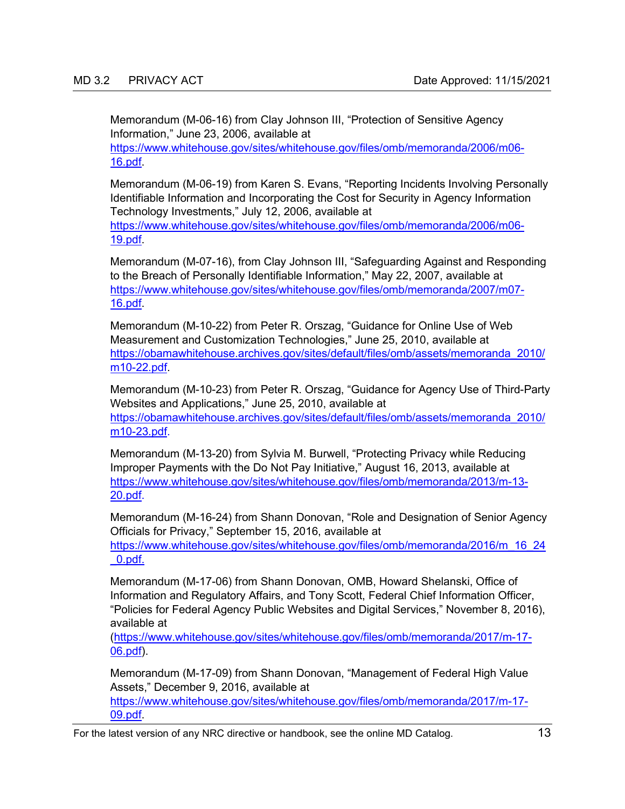Memorandum (M-06-16) from Clay Johnson III, "Protection of Sensitive Agency Information," June 23, 2006, available at [https://www.whitehouse.gov/sites/whitehouse.gov/files/omb/memoranda/2006/m06-](https://www.whitehouse.gov/sites/whitehouse.gov/files/omb/memoranda/2006/m06-16.pdf) [16.pdf.](https://www.whitehouse.gov/sites/whitehouse.gov/files/omb/memoranda/2006/m06-16.pdf)

Memorandum (M-06-19) from Karen S. Evans, "Reporting Incidents Involving Personally Identifiable Information and Incorporating the Cost for Security in Agency Information Technology Investments," July 12, 2006, available at

[https://www.whitehouse.gov/sites/whitehouse.gov/files/omb/memoranda/2006/m06-](https://www.whitehouse.gov/sites/whitehouse.gov/files/omb/memoranda/2006/m06-19.pdf) [19.pdf.](https://www.whitehouse.gov/sites/whitehouse.gov/files/omb/memoranda/2006/m06-19.pdf)

Memorandum (M-07-16), from Clay Johnson III, "Safeguarding Against and Responding to the Breach of Personally Identifiable Information," May 22, 2007, available at [https://www.whitehouse.gov/sites/whitehouse.gov/files/omb/memoranda/2007/m07-](https://www.whitehouse.gov/sites/whitehouse.gov/files/omb/memoranda/2007/m07-16.pdf) [16.pdf.](https://www.whitehouse.gov/sites/whitehouse.gov/files/omb/memoranda/2007/m07-16.pdf)

Memorandum (M-10-22) from Peter R. Orszag, "Guidance for Online Use of Web Measurement and Customization Technologies," June 25, 2010, available at [https://obamawhitehouse.archives.gov/sites/default/files/omb/assets/memoranda\\_2010/](https://obamawhitehouse.archives.gov/sites/default/files/omb/assets/memoranda_2010/m10-22.pdf) [m10-22.pdf.](https://obamawhitehouse.archives.gov/sites/default/files/omb/assets/memoranda_2010/m10-22.pdf)

Memorandum (M-10-23) from Peter R. Orszag, "Guidance for Agency Use of Third-Party Websites and Applications," June 25, 2010, available at [https://obamawhitehouse.archives.gov/sites/default/files/omb/assets/memoranda\\_2010/](https://obamawhitehouse.archives.gov/sites/default/files/omb/assets/memoranda_2010/m10-23.pdf) [m10-23.pdf.](https://obamawhitehouse.archives.gov/sites/default/files/omb/assets/memoranda_2010/m10-23.pdf)

Memorandum (M-13-20) from Sylvia M. Burwell, "Protecting Privacy while Reducing Improper Payments with the Do Not Pay Initiative," August 16, 2013, available at [https://www.whitehouse.gov/sites/whitehouse.gov/files/omb/memoranda/2013/m-13-](https://www.whitehouse.gov/sites/whitehouse.gov/files/omb/memoranda/2013/m-13-20.pdf) [20.pdf.](https://www.whitehouse.gov/sites/whitehouse.gov/files/omb/memoranda/2013/m-13-20.pdf)

Memorandum (M-16-24) from Shann Donovan, "Role and Designation of Senior Agency Officials for Privacy," September 15, 2016, available at [https://www.whitehouse.gov/sites/whitehouse.gov/files/omb/memoranda/2016/m\\_16\\_24](https://www.whitehouse.gov/sites/whitehouse.gov/files/omb/memoranda/2016/m_16_24_0.pdf) [\\_0.pdf.](https://www.whitehouse.gov/sites/whitehouse.gov/files/omb/memoranda/2016/m_16_24_0.pdf)

Memorandum (M-17-06) from Shann Donovan, OMB, Howard Shelanski, Office of Information and Regulatory Affairs, and Tony Scott, Federal Chief Information Officer, "Policies for Federal Agency Public Websites and Digital Services," November 8, 2016), available at

[\(https://www.whitehouse.gov/sites/whitehouse.gov/files/omb/memoranda/2017/m-17-](https://www.whitehouse.gov/sites/whitehouse.gov/files/omb/memoranda/2017/m-17-06.pdf) [06.pdf\)](https://www.whitehouse.gov/sites/whitehouse.gov/files/omb/memoranda/2017/m-17-06.pdf).

Memorandum (M-17-09) from Shann Donovan, "Management of Federal High Value Assets," December 9, 2016, available at

[https://www.whitehouse.gov/sites/whitehouse.gov/files/omb/memoranda/2017/m-17-](https://www.whitehouse.gov/sites/whitehouse.gov/files/omb/memoranda/2017/m-17-09.pdf) [09.pdf.](https://www.whitehouse.gov/sites/whitehouse.gov/files/omb/memoranda/2017/m-17-09.pdf)

For the latest version of any NRC directive or handbook, see the online MD Catalog. 13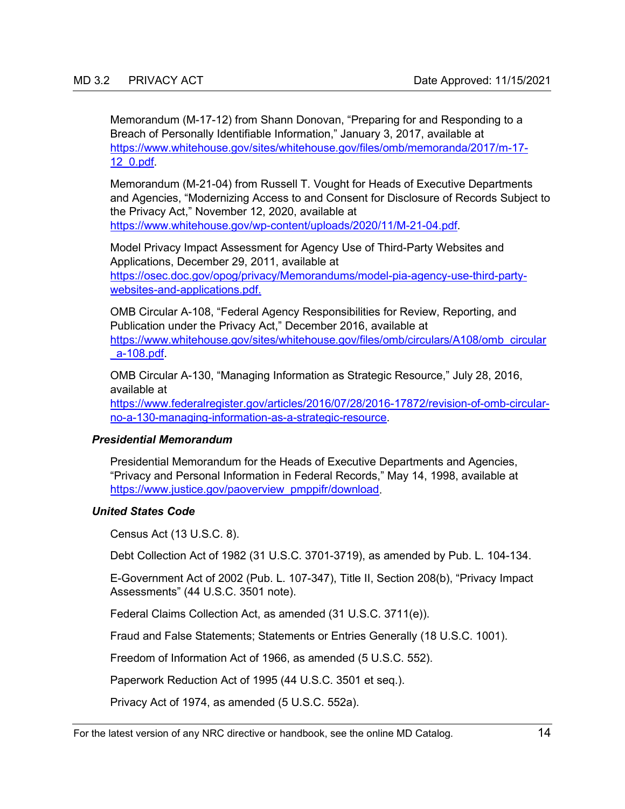Memorandum (M-17-12) from Shann Donovan, "Preparing for and Responding to a Breach of Personally Identifiable Information," January 3, 2017, available at [https://www.whitehouse.gov/sites/whitehouse.gov/files/omb/memoranda/2017/m-17-](https://www.whitehouse.gov/sites/whitehouse.gov/files/omb/memoranda/2017/m-17-12_0.pdf) [12\\_0.pdf.](https://www.whitehouse.gov/sites/whitehouse.gov/files/omb/memoranda/2017/m-17-12_0.pdf)

Memorandum (M-21-04) from Russell T. Vought for Heads of Executive Departments and Agencies, "Modernizing Access to and Consent for Disclosure of Records Subject to the Privacy Act," November 12, 2020, available at [https://www.whitehouse.gov/wp-content/uploads/2020/11/M-21-04.pdf.](https://www.whitehouse.gov/wp-content/uploads/2020/11/M-21-04.pdf)

Model Privacy Impact Assessment for Agency Use of Third-Party Websites and Applications, December 29, 2011, available at [https://osec.doc.gov/opog/privacy/Memorandums/model-pia-agency-use-third-party](https://osec.doc.gov/opog/privacy/Memorandums/model-pia-agency-use-third-party-websites-and-applications.pdf)[websites-and-applications.pdf.](https://osec.doc.gov/opog/privacy/Memorandums/model-pia-agency-use-third-party-websites-and-applications.pdf)

OMB Circular A-108, "Federal Agency Responsibilities for Review, Reporting, and Publication under the Privacy Act," December 2016, available at [https://www.whitehouse.gov/sites/whitehouse.gov/files/omb/circulars/A108/omb\\_circular](https://www.whitehouse.gov/sites/whitehouse.gov/files/omb/circulars/A108/omb_circular_a-108.pdf) [\\_a-108.pdf.](https://www.whitehouse.gov/sites/whitehouse.gov/files/omb/circulars/A108/omb_circular_a-108.pdf)

OMB Circular A-130, "Managing Information as Strategic Resource," July 28, 2016, available at [https://www.federalregister.gov/articles/2016/07/28/2016-17872/revision-of-omb-circular](https://www.federalregister.gov/articles/2016/07/28/2016-17872/revision-of-omb-circular-no-a-130-managing-information-as-a-strategic-resource)[no-a-130-managing-information-as-a-strategic-resource.](https://www.federalregister.gov/articles/2016/07/28/2016-17872/revision-of-omb-circular-no-a-130-managing-information-as-a-strategic-resource)

#### *Presidential Memorandum*

Presidential Memorandum for the Heads of Executive Departments and Agencies, "Privacy and Personal Information in Federal Records," May 14, 1998, available at [https://www.justice.gov/paoverview\\_pmppifr/download.](https://www.justice.gov/paoverview_pmppifr/download)

### *United States Code*

Census Act (13 U.S.C. 8).

Debt Collection Act of 1982 (31 U.S.C. 3701-3719), as amended by Pub. L. 104-134.

E-Government Act of 2002 (Pub. L. 107-347), Title II, Section 208(b), "Privacy Impact Assessments" (44 U.S.C. 3501 note).

Federal Claims Collection Act, as amended (31 U.S.C. 3711(e)).

Fraud and False Statements; Statements or Entries Generally (18 U.S.C. 1001).

Freedom of Information Act of 1966, as amended (5 U.S.C. 552).

Paperwork Reduction Act of 1995 (44 U.S.C. 3501 et seq.).

Privacy Act of 1974, as amended (5 U.S.C. 552a).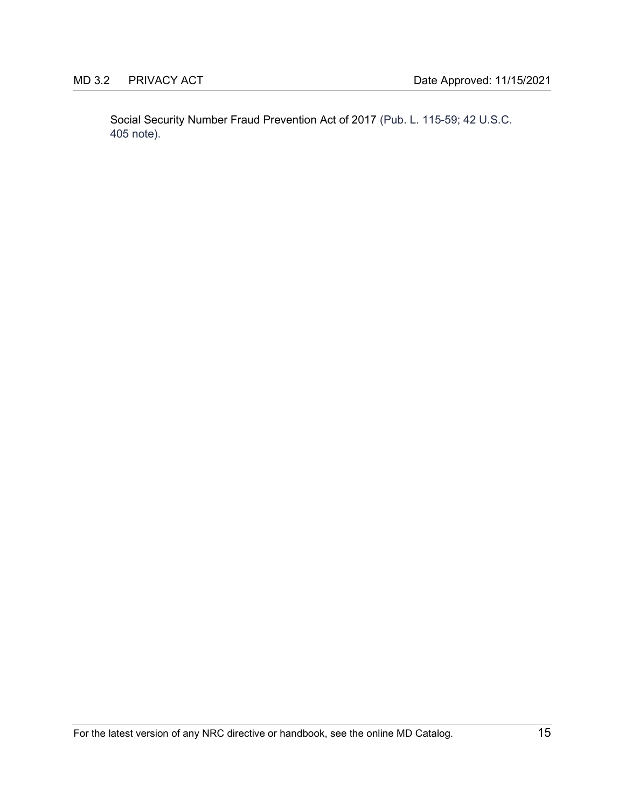Social Security Number Fraud Prevention Act of 2017 (Pub. L. 115-59; 42 U.S.C. 405 note).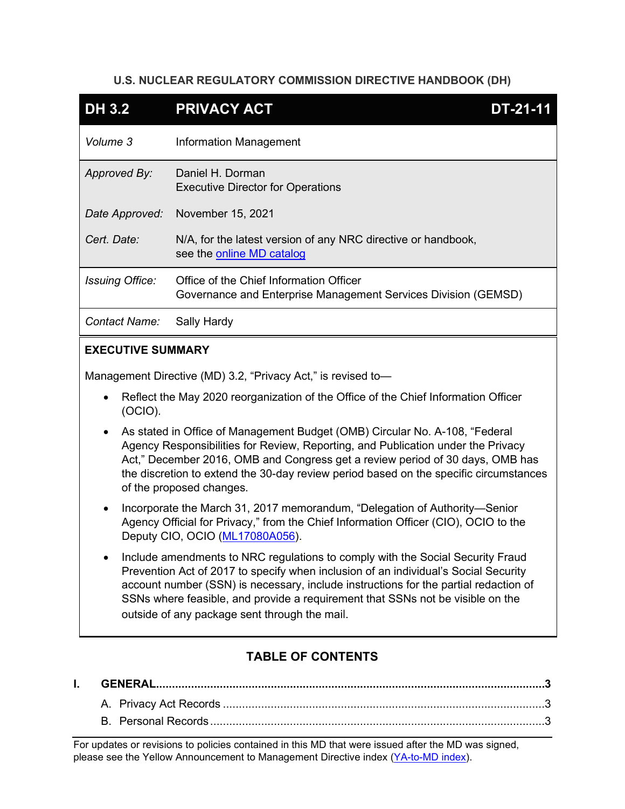### **U.S. NUCLEAR REGULATORY COMMISSION DIRECTIVE HANDBOOK (DH)**

| <b>DH 3.2</b>                                              | <b>PRIVACY ACT</b>                                                                                        | <b>DT-21-11</b> |
|------------------------------------------------------------|-----------------------------------------------------------------------------------------------------------|-----------------|
| Volume 3                                                   | <b>Information Management</b>                                                                             |                 |
| Approved By:                                               | Daniel H. Dorman<br><b>Executive Director for Operations</b>                                              |                 |
| Date Approved:                                             | November 15, 2021                                                                                         |                 |
| Cert. Date:                                                | N/A, for the latest version of any NRC directive or handbook,<br>see the online MD catalog                |                 |
| <b>Issuing Office:</b>                                     | Office of the Chief Information Officer<br>Governance and Enterprise Management Services Division (GEMSD) |                 |
| Contact Name:                                              | <b>Sally Hardy</b>                                                                                        |                 |
| <b>EXECUTIVE SUMMARY</b>                                   |                                                                                                           |                 |
| Managangant Disastiya (MD) 2.3 "Drivaay Ast" is sayiaad to |                                                                                                           |                 |

Management Directive (MD) 3.2, "Privacy Act," is revised to—

- Reflect the May 2020 reorganization of the Office of the Chief Information Officer (OCIO).
- As stated in Office of Management Budget (OMB) Circular No. A-108, "Federal Agency Responsibilities for Review, Reporting, and Publication under the Privacy Act," December 2016, OMB and Congress get a review period of 30 days, OMB has the discretion to extend the 30-day review period based on the specific circumstances of the proposed changes.
- Incorporate the March 31, 2017 memorandum, "Delegation of Authority—Senior Agency Official for Privacy," from the Chief Information Officer (CIO), OCIO to the Deputy CIO, OCIO [\(ML17080A056\)](https://adamsxt.nrc.gov/navigator/AdamsXT/content/downloadContent.faces?objectStoreName=MainLibrary&vsId=%7bF034578A-F4DA-4B7C-81EA-C9B2BCF23FC2%7d&ForceBrowserDownloadMgrPrompt=false).
- Include amendments to NRC regulations to comply with the Social Security Fraud Prevention Act of 2017 to specify when inclusion of an individual's Social Security account number (SSN) is necessary, include instructions for the partial redaction of SSNs where feasible, and provide a requirement that SSNs not be visible on the outside of any package sent through the mail.

# **TABLE OF CONTENTS**

For updates or revisions to policies contained in this MD that were issued after the MD was signed, please see the Yellow Announcement to Management Directive index [\(YA-to-MD index\)](https://usnrc.sharepoint.com/teams/ADM-PMDA-Management-Directives/Lists/yellowtoMD_index/AllItems.aspx).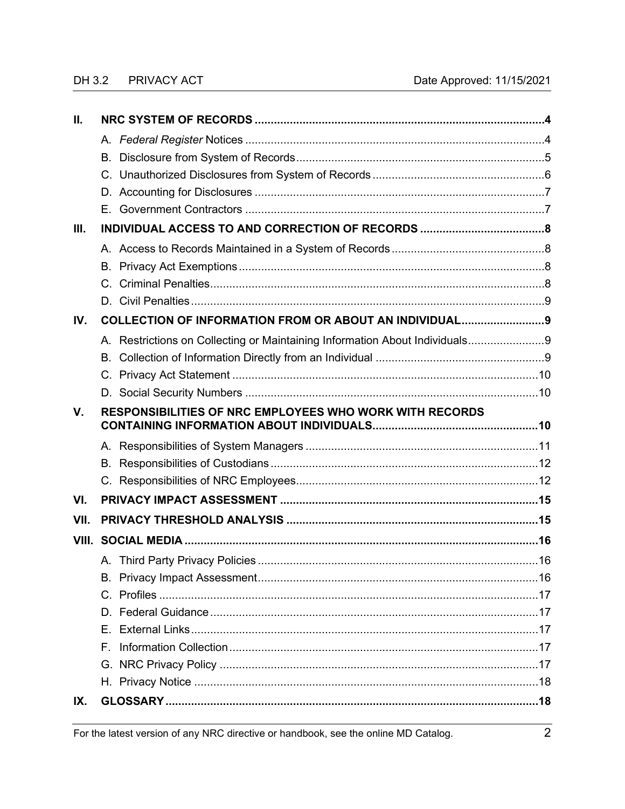#### PRIVACY ACT DH 3.2

| Ш.          |                                                         |  |
|-------------|---------------------------------------------------------|--|
|             |                                                         |  |
|             | В.                                                      |  |
|             |                                                         |  |
|             |                                                         |  |
|             |                                                         |  |
| III.        |                                                         |  |
|             |                                                         |  |
|             |                                                         |  |
|             |                                                         |  |
|             |                                                         |  |
| IV.         | COLLECTION OF INFORMATION FROM OR ABOUT AN INDIVIDUAL   |  |
|             |                                                         |  |
|             | B.                                                      |  |
|             |                                                         |  |
|             |                                                         |  |
| $V_{\cdot}$ | RESPONSIBILITIES OF NRC EMPLOYEES WHO WORK WITH RECORDS |  |
|             |                                                         |  |
|             |                                                         |  |
|             | В.                                                      |  |
|             |                                                         |  |
| VI.         |                                                         |  |
| VII.        |                                                         |  |
|             |                                                         |  |
|             |                                                         |  |
|             |                                                         |  |
|             |                                                         |  |
|             |                                                         |  |
|             |                                                         |  |
|             |                                                         |  |
|             |                                                         |  |
|             |                                                         |  |
| IX.         |                                                         |  |

For the latest version of any NRC directive or handbook, see the online MD Catalog.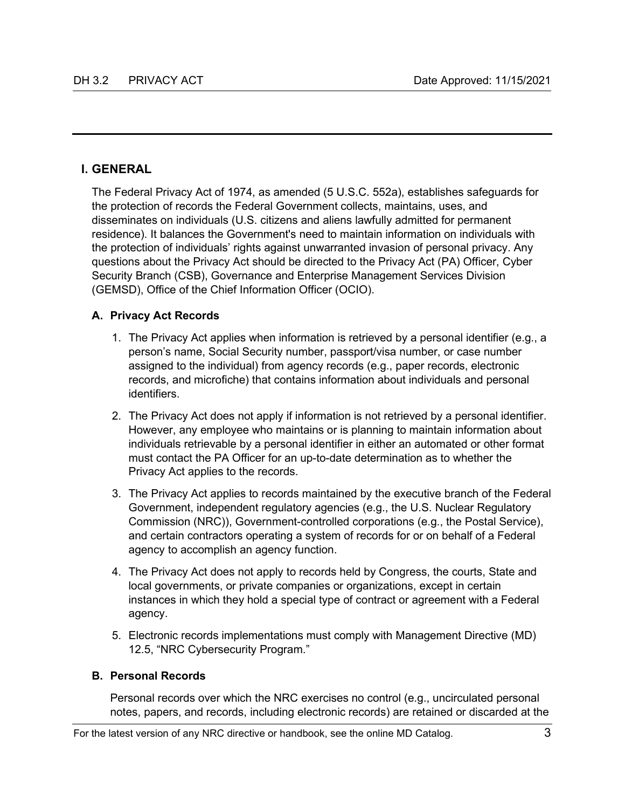### <span id="page-17-0"></span>**I. GENERAL**

The Federal Privacy Act of 1974, as amended (5 U.S.C. 552a), establishes safeguards for the protection of records the Federal Government collects, maintains, uses, and disseminates on individuals (U.S. citizens and aliens lawfully admitted for permanent residence). It balances the Government's need to maintain information on individuals with the protection of individuals' rights against unwarranted invasion of personal privacy. Any questions about the Privacy Act should be directed to the Privacy Act (PA) Officer, Cyber Security Branch (CSB), Governance and Enterprise Management Services Division (GEMSD), Office of the Chief Information Officer (OCIO).

### <span id="page-17-1"></span>**A. Privacy Act Records**

- 1. The Privacy Act applies when information is retrieved by a personal identifier (e.g., a person's name, Social Security number, passport/visa number, or case number assigned to the individual) from agency records (e.g., paper records, electronic records, and microfiche) that contains information about individuals and personal identifiers.
- 2. The Privacy Act does not apply if information is not retrieved by a personal identifier. However, any employee who maintains or is planning to maintain information about individuals retrievable by a personal identifier in either an automated or other format must contact the PA Officer for an up-to-date determination as to whether the Privacy Act applies to the records.
- 3. The Privacy Act applies to records maintained by the executive branch of the Federal Government, independent regulatory agencies (e.g., the U.S. Nuclear Regulatory Commission (NRC)), Government-controlled corporations (e.g., the Postal Service), and certain contractors operating a system of records for or on behalf of a Federal agency to accomplish an agency function.
- 4. The Privacy Act does not apply to records held by Congress, the courts, State and local governments, or private companies or organizations, except in certain instances in which they hold a special type of contract or agreement with a Federal agency.
- 5. Electronic records implementations must comply with Management Directive (MD) 12.5, "NRC Cybersecurity Program."

### <span id="page-17-2"></span>**B. Personal Records**

Personal records over which the NRC exercises no control (e.g., uncirculated personal notes, papers, and records, including electronic records) are retained or discarded at the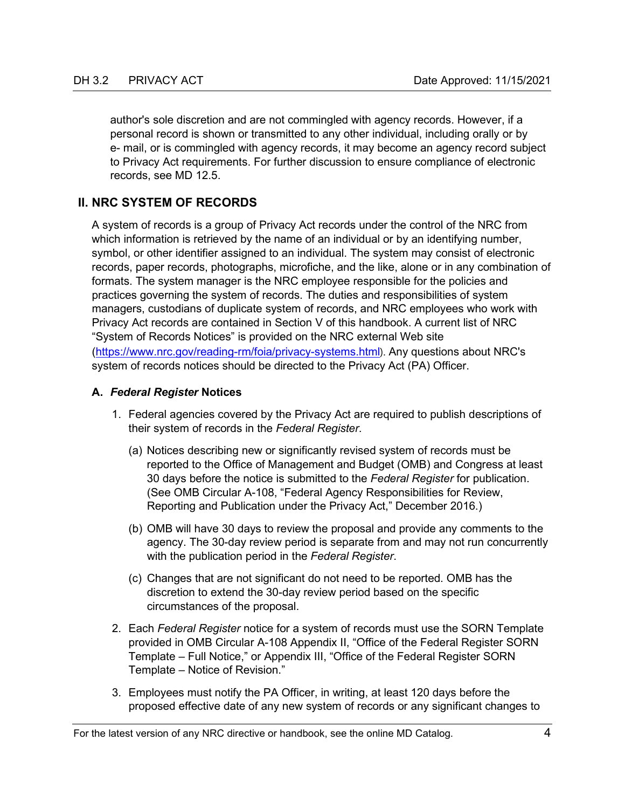author's sole discretion and are not commingled with agency records. However, if a personal record is shown or transmitted to any other individual, including orally or by e- mail, or is commingled with agency records, it may become an agency record subject to Privacy Act requirements. For further discussion to ensure compliance of electronic records, see MD 12.5.

## <span id="page-18-0"></span>**II. NRC SYSTEM OF RECORDS**

A system of records is a group of Privacy Act records under the control of the NRC from which information is retrieved by the name of an individual or by an identifying number, symbol, or other identifier assigned to an individual. The system may consist of electronic records, paper records, photographs, microfiche, and the like, alone or in any combination of formats. The system manager is the NRC employee responsible for the policies and practices governing the system of records. The duties and responsibilities of system managers, custodians of duplicate system of records, and NRC employees who work with Privacy Act records are contained in Section V of this handbook. A current list of NRC "System of Records Notices" is provided on the NRC external Web site [\(https://www.nrc.gov/reading-rm/foia/privacy-systems.html](https://www.nrc.gov/reading-rm/foia/privacy-systems.html)). Any questions about NRC's system of records notices should be directed to the Privacy Act (PA) Officer.

### <span id="page-18-1"></span>**A.** *Federal Register* **Notices**

- 1. Federal agencies covered by the Privacy Act are required to publish descriptions of their system of records in the *Federal Register*.
	- (a) Notices describing new or significantly revised system of records must be reported to the Office of Management and Budget (OMB) and Congress at least 30 days before the notice is submitted to the *Federal Register* for publication. (See OMB Circular A-108, "Federal Agency Responsibilities for Review, Reporting and Publication under the Privacy Act," December 2016.)
	- (b) OMB will have 30 days to review the proposal and provide any comments to the agency. The 30-day review period is separate from and may not run concurrently with the publication period in the *Federal Register*.
	- (c) Changes that are not significant do not need to be reported. OMB has the discretion to extend the 30-day review period based on the specific circumstances of the proposal.
- 2. Each *Federal Register* notice for a system of records must use the SORN Template provided in OMB Circular A-108 Appendix II, "Office of the Federal Register SORN Template – Full Notice," or Appendix III, "Office of the Federal Register SORN Template – Notice of Revision."
- 3. Employees must notify the PA Officer, in writing, at least 120 days before the proposed effective date of any new system of records or any significant changes to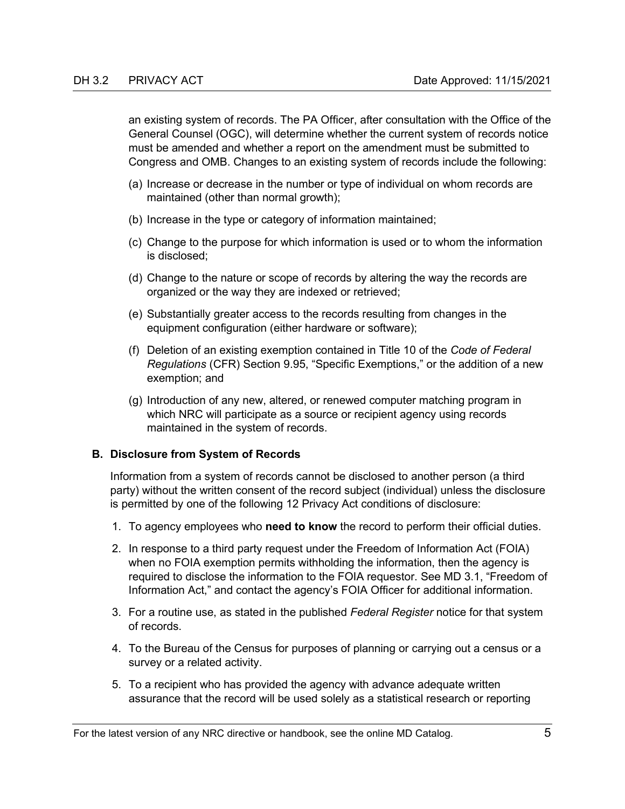an existing system of records. The PA Officer, after consultation with the Office of the General Counsel (OGC), will determine whether the current system of records notice must be amended and whether a report on the amendment must be submitted to Congress and OMB. Changes to an existing system of records include the following:

- (a) Increase or decrease in the number or type of individual on whom records are maintained (other than normal growth);
- (b) Increase in the type or category of information maintained;
- (c) Change to the purpose for which information is used or to whom the information is disclosed;
- (d) Change to the nature or scope of records by altering the way the records are organized or the way they are indexed or retrieved;
- (e) Substantially greater access to the records resulting from changes in the equipment configuration (either hardware or software);
- (f) Deletion of an existing exemption contained in Title 10 of the *Code of Federal Regulations* (CFR) Section 9.95, "Specific Exemptions," or the addition of a new exemption; and
- (g) Introduction of any new, altered, or renewed computer matching program in which NRC will participate as a source or recipient agency using records maintained in the system of records.

#### <span id="page-19-0"></span>**B. Disclosure from System of Records**

Information from a system of records cannot be disclosed to another person (a third party) without the written consent of the record subject (individual) unless the disclosure is permitted by one of the following 12 Privacy Act conditions of disclosure:

- 1. To agency employees who **need to know** the record to perform their official duties.
- 2. In response to a third party request under the Freedom of Information Act (FOIA) when no FOIA exemption permits withholding the information, then the agency is required to disclose the information to the FOIA requestor. See MD 3.1, "Freedom of Information Act," and contact the agency's FOIA Officer for additional information.
- 3. For a routine use, as stated in the published *Federal Register* notice for that system of records.
- 4. To the Bureau of the Census for purposes of planning or carrying out a census or a survey or a related activity.
- 5. To a recipient who has provided the agency with advance adequate written assurance that the record will be used solely as a statistical research or reporting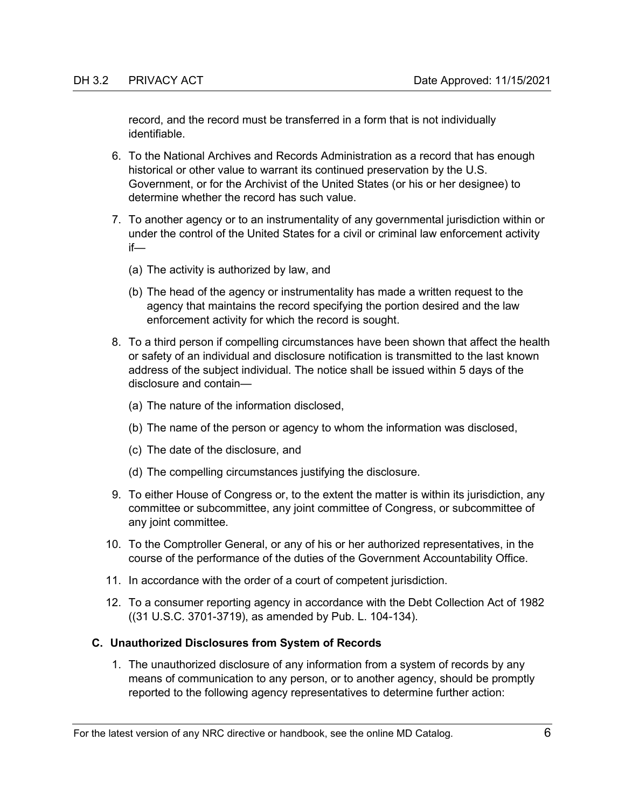record, and the record must be transferred in a form that is not individually identifiable.

- 6. To the National Archives and Records Administration as a record that has enough historical or other value to warrant its continued preservation by the U.S. Government, or for the Archivist of the United States (or his or her designee) to determine whether the record has such value.
- 7. To another agency or to an instrumentality of any governmental jurisdiction within or under the control of the United States for a civil or criminal law enforcement activity if—
	- (a) The activity is authorized by law, and
	- (b) The head of the agency or instrumentality has made a written request to the agency that maintains the record specifying the portion desired and the law enforcement activity for which the record is sought.
- 8. To a third person if compelling circumstances have been shown that affect the health or safety of an individual and disclosure notification is transmitted to the last known address of the subject individual. The notice shall be issued within 5 days of the disclosure and contain—
	- (a) The nature of the information disclosed,
	- (b) The name of the person or agency to whom the information was disclosed,
	- (c) The date of the disclosure, and
	- (d) The compelling circumstances justifying the disclosure.
- 9. To either House of Congress or, to the extent the matter is within its jurisdiction, any committee or subcommittee, any joint committee of Congress, or subcommittee of any joint committee.
- 10. To the Comptroller General, or any of his or her authorized representatives, in the course of the performance of the duties of the Government Accountability Office.
- 11. In accordance with the order of a court of competent jurisdiction.
- 12. To a consumer reporting agency in accordance with the Debt Collection Act of 1982 ((31 U.S.C. 3701-3719), as amended by Pub. L. 104-134).

### <span id="page-20-0"></span>**C. Unauthorized Disclosures from System of Records**

1. The unauthorized disclosure of any information from a system of records by any means of communication to any person, or to another agency, should be promptly reported to the following agency representatives to determine further action: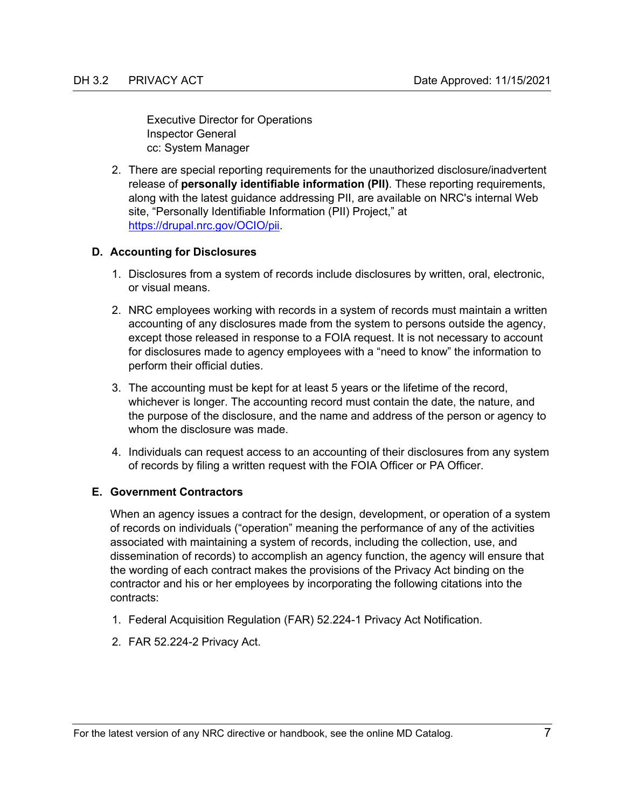Executive Director for Operations Inspector General cc: System Manager

2. There are special reporting requirements for the unauthorized disclosure/inadvertent release of **personally identifiable information (PII)**. These reporting requirements, along with the latest guidance addressing PII, are available on NRC's internal Web site, "Personally Identifiable Information (PII) Project," at [https://drupal.nrc.gov/OCIO/pii.](https://drupal.nrc.gov/OCIO/pii)

### <span id="page-21-0"></span>**D. Accounting for Disclosures**

- 1. Disclosures from a system of records include disclosures by written, oral, electronic, or visual means.
- 2. NRC employees working with records in a system of records must maintain a written accounting of any disclosures made from the system to persons outside the agency, except those released in response to a FOIA request. It is not necessary to account for disclosures made to agency employees with a "need to know" the information to perform their official duties.
- 3. The accounting must be kept for at least 5 years or the lifetime of the record, whichever is longer. The accounting record must contain the date, the nature, and the purpose of the disclosure, and the name and address of the person or agency to whom the disclosure was made.
- 4. Individuals can request access to an accounting of their disclosures from any system of records by filing a written request with the FOIA Officer or PA Officer.

### <span id="page-21-1"></span>**E. Government Contractors**

When an agency issues a contract for the design, development, or operation of a system of records on individuals ("operation" meaning the performance of any of the activities associated with maintaining a system of records, including the collection, use, and dissemination of records) to accomplish an agency function, the agency will ensure that the wording of each contract makes the provisions of the Privacy Act binding on the contractor and his or her employees by incorporating the following citations into the contracts:

- 1. Federal Acquisition Regulation (FAR) 52.224-1 Privacy Act Notification.
- 2. FAR 52.224-2 Privacy Act.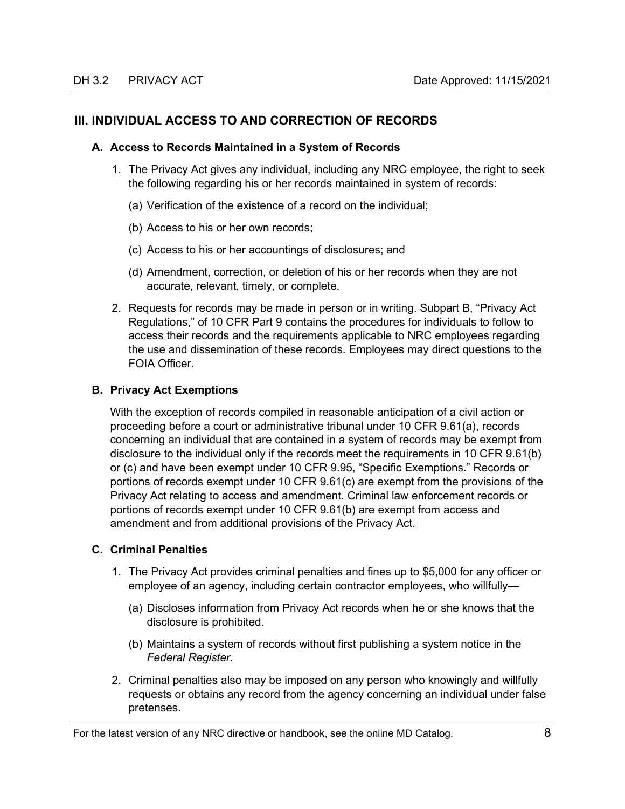### <span id="page-22-0"></span>**III. INDIVIDUAL ACCESS TO AND CORRECTION OF RECORDS**

#### <span id="page-22-1"></span>**A. Access to Records Maintained in a System of Records**

- 1. The Privacy Act gives any individual, including any NRC employee, the right to seek the following regarding his or her records maintained in system of records:
	- (a) Verification of the existence of a record on the individual;
	- (b) Access to his or her own records;
	- (c) Access to his or her accountings of disclosures; and
	- (d) Amendment, correction, or deletion of his or her records when they are not accurate, relevant, timely, or complete.
- 2. Requests for records may be made in person or in writing. Subpart B, "Privacy Act Regulations," of 10 CFR Part 9 contains the procedures for individuals to follow to access their records and the requirements applicable to NRC employees regarding the use and dissemination of these records. Employees may direct questions to the FOIA Officer.

#### <span id="page-22-2"></span>**B. Privacy Act Exemptions**

With the exception of records compiled in reasonable anticipation of a civil action or proceeding before a court or administrative tribunal under 10 CFR 9.61(a), records concerning an individual that are contained in a system of records may be exempt from disclosure to the individual only if the records meet the requirements in 10 CFR 9.61(b) or (c) and have been exempt under 10 CFR 9.95, "Specific Exemptions." Records or portions of records exempt under 10 CFR 9.61(c) are exempt from the provisions of the Privacy Act relating to access and amendment. Criminal law enforcement records or portions of records exempt under 10 CFR 9.61(b) are exempt from access and amendment and from additional provisions of the Privacy Act.

#### <span id="page-22-3"></span>**C. Criminal Penalties**

- 1. The Privacy Act provides criminal penalties and fines up to \$5,000 for any officer or employee of an agency, including certain contractor employees, who willfully—
	- (a) Discloses information from Privacy Act records when he or she knows that the disclosure is prohibited.
	- (b) Maintains a system of records without first publishing a system notice in the *Federal Register*.
- 2. Criminal penalties also may be imposed on any person who knowingly and willfully requests or obtains any record from the agency concerning an individual under false pretenses.

For the latest version of any NRC directive or handbook, see the online MD Catalog.  $8$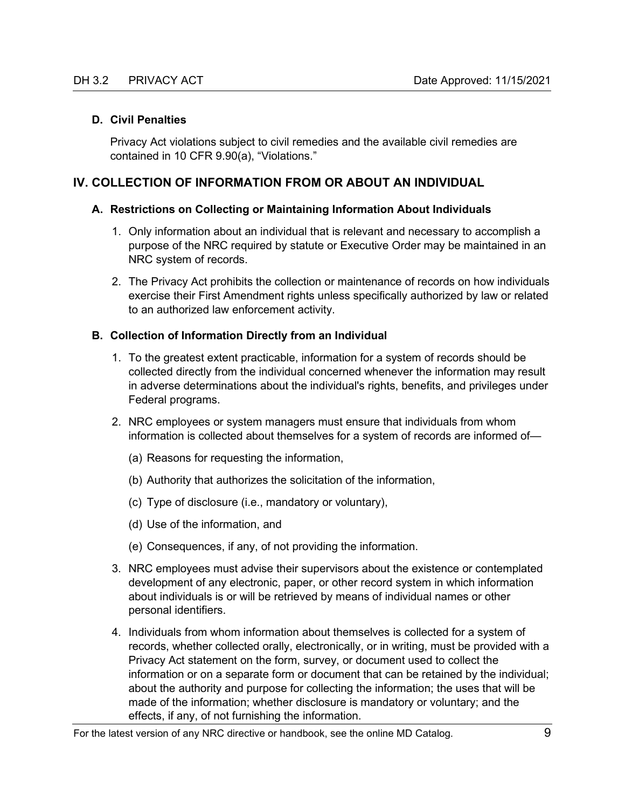### <span id="page-23-0"></span>**D. Civil Penalties**

Privacy Act violations subject to civil remedies and the available civil remedies are contained in 10 CFR 9.90(a), "Violations."

### <span id="page-23-1"></span>**IV. COLLECTION OF INFORMATION FROM OR ABOUT AN INDIVIDUAL**

#### <span id="page-23-2"></span>**A. Restrictions on Collecting or Maintaining Information About Individuals**

- 1. Only information about an individual that is relevant and necessary to accomplish a purpose of the NRC required by statute or Executive Order may be maintained in an NRC system of records.
- 2. The Privacy Act prohibits the collection or maintenance of records on how individuals exercise their First Amendment rights unless specifically authorized by law or related to an authorized law enforcement activity.

#### <span id="page-23-3"></span>**B. Collection of Information Directly from an Individual**

- 1. To the greatest extent practicable, information for a system of records should be collected directly from the individual concerned whenever the information may result in adverse determinations about the individual's rights, benefits, and privileges under Federal programs.
- 2. NRC employees or system managers must ensure that individuals from whom information is collected about themselves for a system of records are informed of—
	- (a) Reasons for requesting the information,
	- (b) Authority that authorizes the solicitation of the information,
	- (c) Type of disclosure (i.e., mandatory or voluntary),
	- (d) Use of the information, and
	- (e) Consequences, if any, of not providing the information.
- 3. NRC employees must advise their supervisors about the existence or contemplated development of any electronic, paper, or other record system in which information about individuals is or will be retrieved by means of individual names or other personal identifiers.
- 4. Individuals from whom information about themselves is collected for a system of records, whether collected orally, electronically, or in writing, must be provided with a Privacy Act statement on the form, survey, or document used to collect the information or on a separate form or document that can be retained by the individual; about the authority and purpose for collecting the information; the uses that will be made of the information; whether disclosure is mandatory or voluntary; and the effects, if any, of not furnishing the information.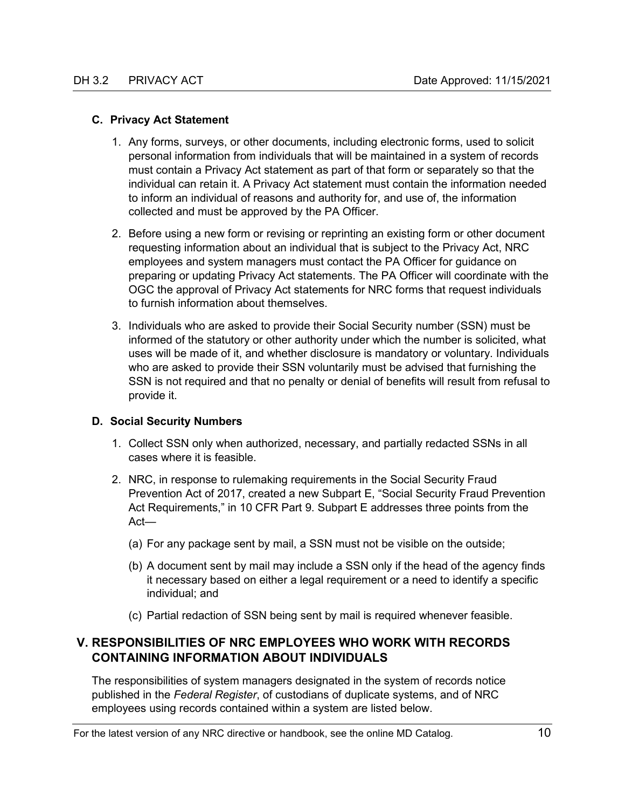### <span id="page-24-0"></span>**C. Privacy Act Statement**

- 1. Any forms, surveys, or other documents, including electronic forms, used to solicit personal information from individuals that will be maintained in a system of records must contain a Privacy Act statement as part of that form or separately so that the individual can retain it. A Privacy Act statement must contain the information needed to inform an individual of reasons and authority for, and use of, the information collected and must be approved by the PA Officer.
- 2. Before using a new form or revising or reprinting an existing form or other document requesting information about an individual that is subject to the Privacy Act, NRC employees and system managers must contact the PA Officer for guidance on preparing or updating Privacy Act statements. The PA Officer will coordinate with the OGC the approval of Privacy Act statements for NRC forms that request individuals to furnish information about themselves.
- 3. Individuals who are asked to provide their Social Security number (SSN) must be informed of the statutory or other authority under which the number is solicited, what uses will be made of it, and whether disclosure is mandatory or voluntary. Individuals who are asked to provide their SSN voluntarily must be advised that furnishing the SSN is not required and that no penalty or denial of benefits will result from refusal to provide it.

### <span id="page-24-1"></span>**D. Social Security Numbers**

- 1. Collect SSN only when authorized, necessary, and partially redacted SSNs in all cases where it is feasible.
- 2. NRC, in response to rulemaking requirements in the Social Security Fraud Prevention Act of 2017, created a new Subpart E, "Social Security Fraud Prevention Act Requirements," in 10 CFR Part 9. Subpart E addresses three points from the Act—
	- (a) For any package sent by mail, a SSN must not be visible on the outside;
	- (b) A document sent by mail may include a SSN only if the head of the agency finds it necessary based on either a legal requirement or a need to identify a specific individual; and
	- (c) Partial redaction of SSN being sent by mail is required whenever feasible.

### <span id="page-24-2"></span>**V. RESPONSIBILITIES OF NRC EMPLOYEES WHO WORK WITH RECORDS CONTAINING INFORMATION ABOUT INDIVIDUALS**

The responsibilities of system managers designated in the system of records notice published in the *Federal Register*, of custodians of duplicate systems, and of NRC employees using records contained within a system are listed below.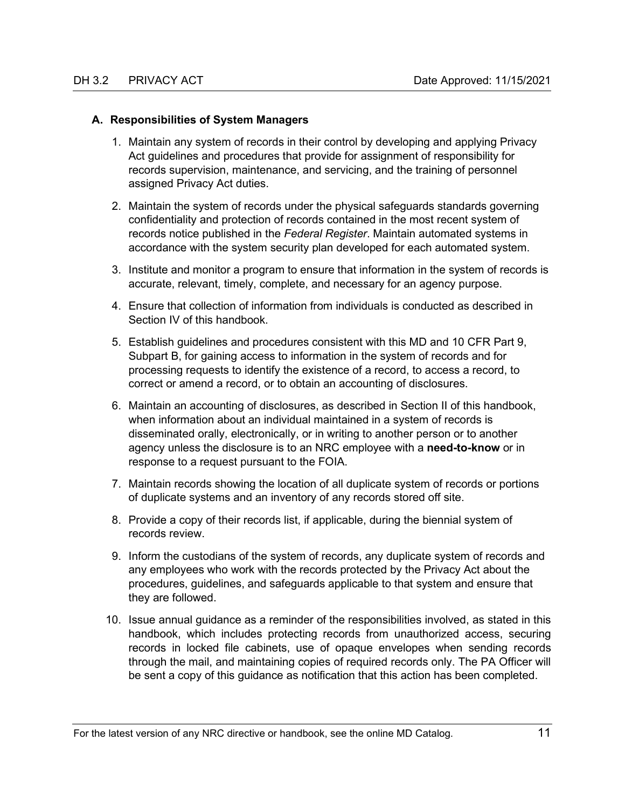#### <span id="page-25-0"></span>**A. Responsibilities of System Managers**

- 1. Maintain any system of records in their control by developing and applying Privacy Act guidelines and procedures that provide for assignment of responsibility for records supervision, maintenance, and servicing, and the training of personnel assigned Privacy Act duties.
- 2. Maintain the system of records under the physical safeguards standards governing confidentiality and protection of records contained in the most recent system of records notice published in the *Federal Register*. Maintain automated systems in accordance with the system security plan developed for each automated system.
- 3. Institute and monitor a program to ensure that information in the system of records is accurate, relevant, timely, complete, and necessary for an agency purpose.
- 4. Ensure that collection of information from individuals is conducted as described in Section IV of this handbook.
- 5. Establish guidelines and procedures consistent with this MD and 10 CFR Part 9, Subpart B, for gaining access to information in the system of records and for processing requests to identify the existence of a record, to access a record, to correct or amend a record, or to obtain an accounting of disclosures.
- 6. Maintain an accounting of disclosures, as described in Section II of this handbook, when information about an individual maintained in a system of records is disseminated orally, electronically, or in writing to another person or to another agency unless the disclosure is to an NRC employee with a **need-to-know** or in response to a request pursuant to the FOIA.
- 7. Maintain records showing the location of all duplicate system of records or portions of duplicate systems and an inventory of any records stored off site.
- 8. Provide a copy of their records list, if applicable, during the biennial system of records review.
- 9. Inform the custodians of the system of records, any duplicate system of records and any employees who work with the records protected by the Privacy Act about the procedures, guidelines, and safeguards applicable to that system and ensure that they are followed.
- 10. Issue annual guidance as a reminder of the responsibilities involved, as stated in this handbook, which includes protecting records from unauthorized access, securing records in locked file cabinets, use of opaque envelopes when sending records through the mail, and maintaining copies of required records only. The PA Officer will be sent a copy of this guidance as notification that this action has been completed.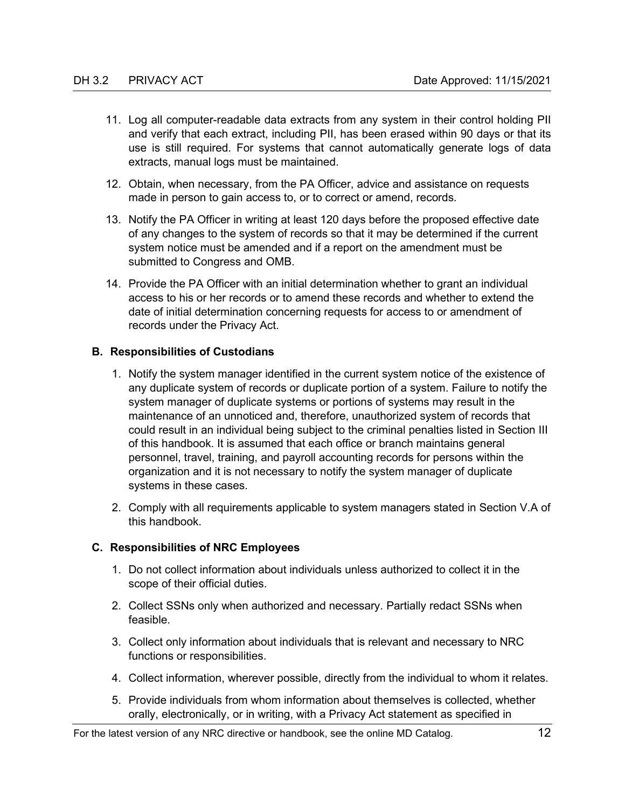- 11. Log all computer-readable data extracts from any system in their control holding PII and verify that each extract, including PII, has been erased within 90 days or that its use is still required. For systems that cannot automatically generate logs of data extracts, manual logs must be maintained.
- 12. Obtain, when necessary, from the PA Officer, advice and assistance on requests made in person to gain access to, or to correct or amend, records.
- 13. Notify the PA Officer in writing at least 120 days before the proposed effective date of any changes to the system of records so that it may be determined if the current system notice must be amended and if a report on the amendment must be submitted to Congress and OMB.
- 14. Provide the PA Officer with an initial determination whether to grant an individual access to his or her records or to amend these records and whether to extend the date of initial determination concerning requests for access to or amendment of records under the Privacy Act.

#### <span id="page-26-0"></span>**B. Responsibilities of Custodians**

- 1. Notify the system manager identified in the current system notice of the existence of any duplicate system of records or duplicate portion of a system. Failure to notify the system manager of duplicate systems or portions of systems may result in the maintenance of an unnoticed and, therefore, unauthorized system of records that could result in an individual being subject to the criminal penalties listed in Section III of this handbook. It is assumed that each office or branch maintains general personnel, travel, training, and payroll accounting records for persons within the organization and it is not necessary to notify the system manager of duplicate systems in these cases.
- 2. Comply with all requirements applicable to system managers stated in Section V.A of this handbook.

#### <span id="page-26-1"></span>**C. Responsibilities of NRC Employees**

- 1. Do not collect information about individuals unless authorized to collect it in the scope of their official duties.
- 2. Collect SSNs only when authorized and necessary. Partially redact SSNs when feasible.
- 3. Collect only information about individuals that is relevant and necessary to NRC functions or responsibilities.
- 4. Collect information, wherever possible, directly from the individual to whom it relates.
- 5. Provide individuals from whom information about themselves is collected, whether orally, electronically, or in writing, with a Privacy Act statement as specified in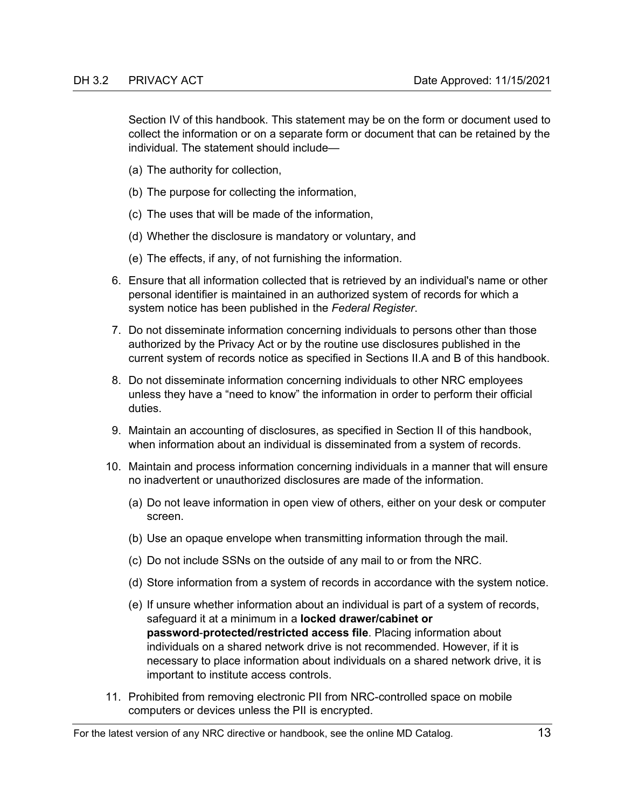Section IV of this handbook. This statement may be on the form or document used to collect the information or on a separate form or document that can be retained by the individual. The statement should include—

- (a) The authority for collection,
- (b) The purpose for collecting the information,
- (c) The uses that will be made of the information,
- (d) Whether the disclosure is mandatory or voluntary, and
- (e) The effects, if any, of not furnishing the information.
- 6. Ensure that all information collected that is retrieved by an individual's name or other personal identifier is maintained in an authorized system of records for which a system notice has been published in the *Federal Register*.
- 7. Do not disseminate information concerning individuals to persons other than those authorized by the Privacy Act or by the routine use disclosures published in the current system of records notice as specified in Sections II.A and B of this handbook.
- 8. Do not disseminate information concerning individuals to other NRC employees unless they have a "need to know" the information in order to perform their official duties.
- 9. Maintain an accounting of disclosures, as specified in Section II of this handbook, when information about an individual is disseminated from a system of records.
- 10. Maintain and process information concerning individuals in a manner that will ensure no inadvertent or unauthorized disclosures are made of the information.
	- (a) Do not leave information in open view of others, either on your desk or computer screen.
	- (b) Use an opaque envelope when transmitting information through the mail.
	- (c) Do not include SSNs on the outside of any mail to or from the NRC.
	- (d) Store information from a system of records in accordance with the system notice.
	- (e) If unsure whether information about an individual is part of a system of records, safeguard it at a minimum in a **locked drawer/cabinet or password**-**protected/restricted access file**. Placing information about individuals on a shared network drive is not recommended. However, if it is necessary to place information about individuals on a shared network drive, it is important to institute access controls.
- 11. Prohibited from removing electronic PII from NRC-controlled space on mobile computers or devices unless the PII is encrypted.

For the latest version of any NRC directive or handbook, see the online MD Catalog. 13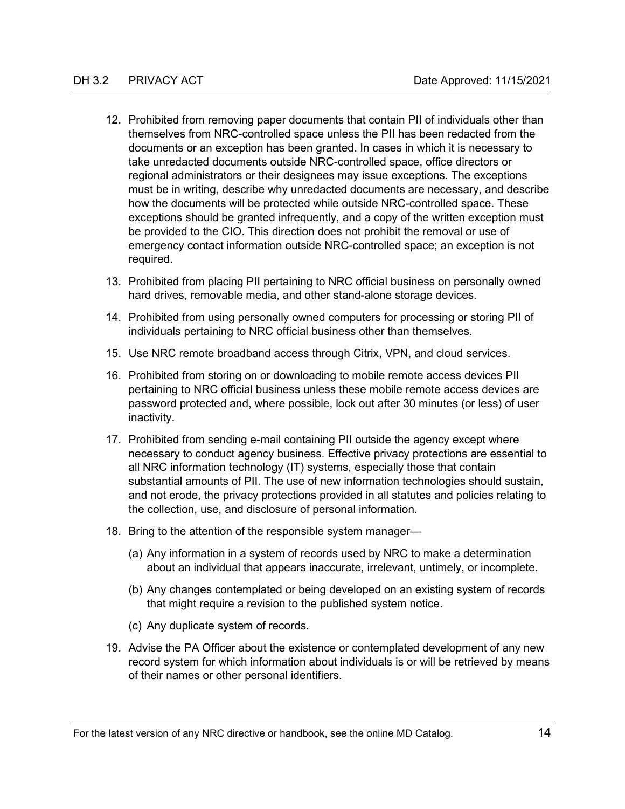- 12. Prohibited from removing paper documents that contain PII of individuals other than themselves from NRC-controlled space unless the PII has been redacted from the documents or an exception has been granted. In cases in which it is necessary to take unredacted documents outside NRC-controlled space, office directors or regional administrators or their designees may issue exceptions. The exceptions must be in writing, describe why unredacted documents are necessary, and describe how the documents will be protected while outside NRC-controlled space. These exceptions should be granted infrequently, and a copy of the written exception must be provided to the CIO. This direction does not prohibit the removal or use of emergency contact information outside NRC-controlled space; an exception is not required.
- 13. Prohibited from placing PII pertaining to NRC official business on personally owned hard drives, removable media, and other stand-alone storage devices.
- 14. Prohibited from using personally owned computers for processing or storing PII of individuals pertaining to NRC official business other than themselves.
- 15. Use NRC remote broadband access through Citrix, VPN, and cloud services.
- 16. Prohibited from storing on or downloading to mobile remote access devices PII pertaining to NRC official business unless these mobile remote access devices are password protected and, where possible, lock out after 30 minutes (or less) of user inactivity.
- 17. Prohibited from sending e-mail containing PII outside the agency except where necessary to conduct agency business. Effective privacy protections are essential to all NRC information technology (IT) systems, especially those that contain substantial amounts of PII. The use of new information technologies should sustain, and not erode, the privacy protections provided in all statutes and policies relating to the collection, use, and disclosure of personal information.
- 18. Bring to the attention of the responsible system manager—
	- (a) Any information in a system of records used by NRC to make a determination about an individual that appears inaccurate, irrelevant, untimely, or incomplete.
	- (b) Any changes contemplated or being developed on an existing system of records that might require a revision to the published system notice.
	- (c) Any duplicate system of records.
- 19. Advise the PA Officer about the existence or contemplated development of any new record system for which information about individuals is or will be retrieved by means of their names or other personal identifiers.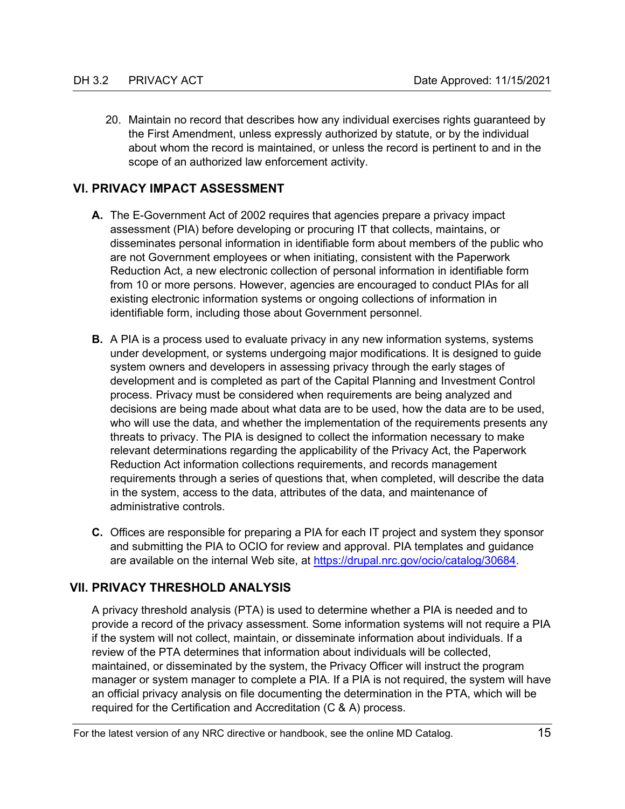20. Maintain no record that describes how any individual exercises rights guaranteed by the First Amendment, unless expressly authorized by statute, or by the individual about whom the record is maintained, or unless the record is pertinent to and in the scope of an authorized law enforcement activity.

### <span id="page-29-0"></span>**VI. PRIVACY IMPACT ASSESSMENT**

- **A.** The E-Government Act of 2002 requires that agencies prepare a privacy impact assessment (PIA) before developing or procuring IT that collects, maintains, or disseminates personal information in identifiable form about members of the public who are not Government employees or when initiating, consistent with the Paperwork Reduction Act, a new electronic collection of personal information in identifiable form from 10 or more persons. However, agencies are encouraged to conduct PIAs for all existing electronic information systems or ongoing collections of information in identifiable form, including those about Government personnel.
- **B.** A PIA is a process used to evaluate privacy in any new information systems, systems under development, or systems undergoing major modifications. It is designed to guide system owners and developers in assessing privacy through the early stages of development and is completed as part of the Capital Planning and Investment Control process. Privacy must be considered when requirements are being analyzed and decisions are being made about what data are to be used, how the data are to be used, who will use the data, and whether the implementation of the requirements presents any threats to privacy. The PIA is designed to collect the information necessary to make relevant determinations regarding the applicability of the Privacy Act, the Paperwork Reduction Act information collections requirements, and records management requirements through a series of questions that, when completed, will describe the data in the system, access to the data, attributes of the data, and maintenance of administrative controls.
- **C.** Offices are responsible for preparing a PIA for each IT project and system they sponsor and submitting the PIA to OCIO for review and approval. PIA templates and guidance are available on the internal Web site, at [https://drupal.nrc.gov/ocio/catalog/30684.](https://drupal.nrc.gov/ocio/catalog/30684)

### <span id="page-29-1"></span>**VII. PRIVACY THRESHOLD ANALYSIS**

A privacy threshold analysis (PTA) is used to determine whether a PIA is needed and to provide a record of the privacy assessment. Some information systems will not require a PIA if the system will not collect, maintain, or disseminate information about individuals. If a review of the PTA determines that information about individuals will be collected, maintained, or disseminated by the system, the Privacy Officer will instruct the program manager or system manager to complete a PIA. If a PIA is not required, the system will have an official privacy analysis on file documenting the determination in the PTA, which will be required for the Certification and Accreditation (C & A) process.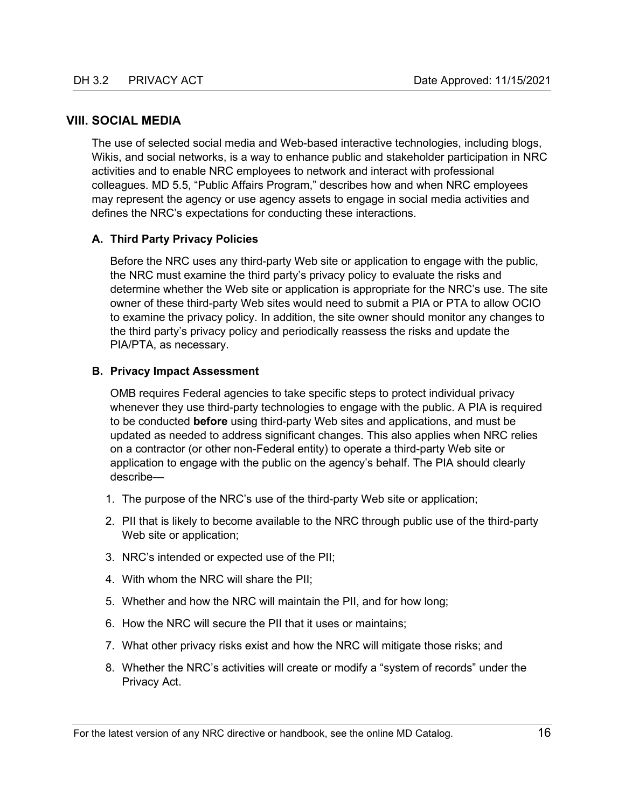### <span id="page-30-0"></span>**VIII. SOCIAL MEDIA**

The use of selected social media and Web-based interactive technologies, including blogs, Wikis, and social networks, is a way to enhance public and stakeholder participation in NRC activities and to enable NRC employees to network and interact with professional colleagues. MD 5.5, "Public Affairs Program," describes how and when NRC employees may represent the agency or use agency assets to engage in social media activities and defines the NRC's expectations for conducting these interactions.

### <span id="page-30-1"></span>**A. Third Party Privacy Policies**

Before the NRC uses any third-party Web site or application to engage with the public, the NRC must examine the third party's privacy policy to evaluate the risks and determine whether the Web site or application is appropriate for the NRC's use. The site owner of these third-party Web sites would need to submit a PIA or PTA to allow OCIO to examine the privacy policy. In addition, the site owner should monitor any changes to the third party's privacy policy and periodically reassess the risks and update the PIA/PTA, as necessary.

#### <span id="page-30-2"></span>**B. Privacy Impact Assessment**

OMB requires Federal agencies to take specific steps to protect individual privacy whenever they use third-party technologies to engage with the public. A PIA is required to be conducted **before** using third-party Web sites and applications, and must be updated as needed to address significant changes. This also applies when NRC relies on a contractor (or other non-Federal entity) to operate a third-party Web site or application to engage with the public on the agency's behalf. The PIA should clearly describe—

- 1. The purpose of the NRC's use of the third-party Web site or application;
- 2. PII that is likely to become available to the NRC through public use of the third-party Web site or application;
- 3. NRC's intended or expected use of the PII;
- 4. With whom the NRC will share the PII;
- 5. Whether and how the NRC will maintain the PII, and for how long;
- 6. How the NRC will secure the PII that it uses or maintains;
- 7. What other privacy risks exist and how the NRC will mitigate those risks; and
- 8. Whether the NRC's activities will create or modify a "system of records" under the Privacy Act.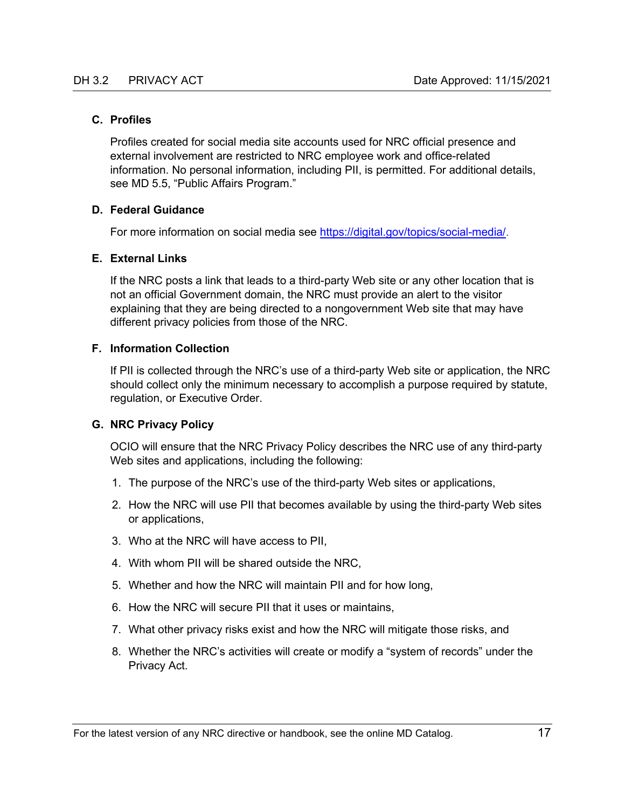### <span id="page-31-0"></span>**C. Profiles**

Profiles created for social media site accounts used for NRC official presence and external involvement are restricted to NRC employee work and office-related information. No personal information, including PII, is permitted. For additional details, see MD 5.5, "Public Affairs Program."

### <span id="page-31-1"></span>**D. Federal Guidance**

For more information on social media see [https://digital.gov/topics/social-media/.](https://digital.gov/topics/social-media/)

### <span id="page-31-2"></span>**E. External Links**

If the NRC posts a link that leads to a third-party Web site or any other location that is not an official Government domain, the NRC must provide an alert to the visitor explaining that they are being directed to a nongovernment Web site that may have different privacy policies from those of the NRC.

#### <span id="page-31-3"></span>**F. Information Collection**

If PII is collected through the NRC's use of a third-party Web site or application, the NRC should collect only the minimum necessary to accomplish a purpose required by statute, regulation, or Executive Order.

### <span id="page-31-4"></span>**G. NRC Privacy Policy**

OCIO will ensure that the NRC Privacy Policy describes the NRC use of any third-party Web sites and applications, including the following:

- 1. The purpose of the NRC's use of the third-party Web sites or applications,
- 2. How the NRC will use PII that becomes available by using the third-party Web sites or applications,
- 3. Who at the NRC will have access to PII,
- 4. With whom PII will be shared outside the NRC,
- 5. Whether and how the NRC will maintain PII and for how long,
- 6. How the NRC will secure PII that it uses or maintains,
- 7. What other privacy risks exist and how the NRC will mitigate those risks, and
- 8. Whether the NRC's activities will create or modify a "system of records" under the Privacy Act.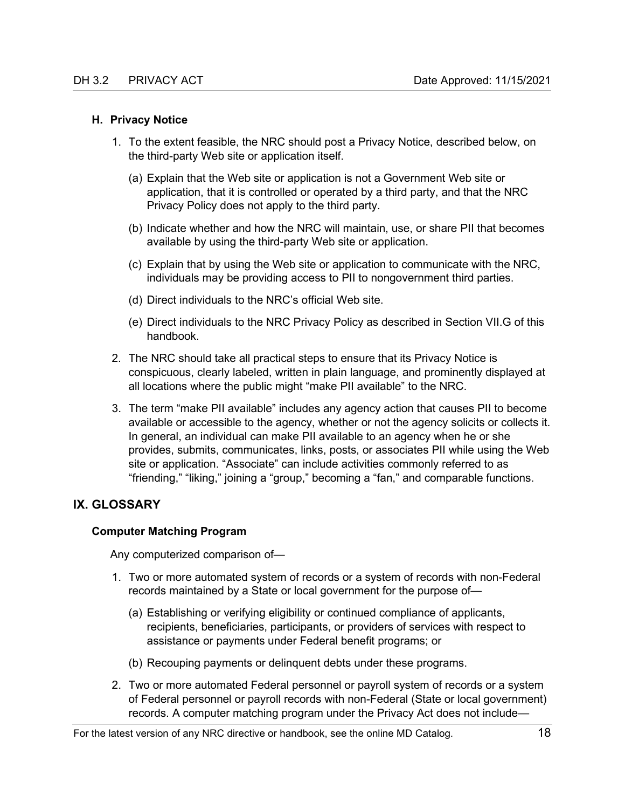#### <span id="page-32-0"></span>**H. Privacy Notice**

- 1. To the extent feasible, the NRC should post a Privacy Notice, described below, on the third-party Web site or application itself.
	- (a) Explain that the Web site or application is not a Government Web site or application, that it is controlled or operated by a third party, and that the NRC Privacy Policy does not apply to the third party.
	- (b) Indicate whether and how the NRC will maintain, use, or share PII that becomes available by using the third-party Web site or application.
	- (c) Explain that by using the Web site or application to communicate with the NRC, individuals may be providing access to PII to nongovernment third parties.
	- (d) Direct individuals to the NRC's official Web site.
	- (e) Direct individuals to the NRC Privacy Policy as described in Section VII.G of this handbook.
- 2. The NRC should take all practical steps to ensure that its Privacy Notice is conspicuous, clearly labeled, written in plain language, and prominently displayed at all locations where the public might "make PII available" to the NRC.
- 3. The term "make PII available" includes any agency action that causes PII to become available or accessible to the agency, whether or not the agency solicits or collects it. In general, an individual can make PII available to an agency when he or she provides, submits, communicates, links, posts, or associates PII while using the Web site or application. "Associate" can include activities commonly referred to as "friending," "liking," joining a "group," becoming a "fan," and comparable functions.

### <span id="page-32-1"></span>**IX. GLOSSARY**

### **Computer Matching Program**

Any computerized comparison of—

- 1. Two or more automated system of records or a system of records with non-Federal records maintained by a State or local government for the purpose of—
	- (a) Establishing or verifying eligibility or continued compliance of applicants, recipients, beneficiaries, participants, or providers of services with respect to assistance or payments under Federal benefit programs; or
	- (b) Recouping payments or delinquent debts under these programs.
- 2. Two or more automated Federal personnel or payroll system of records or a system of Federal personnel or payroll records with non-Federal (State or local government) records. A computer matching program under the Privacy Act does not include—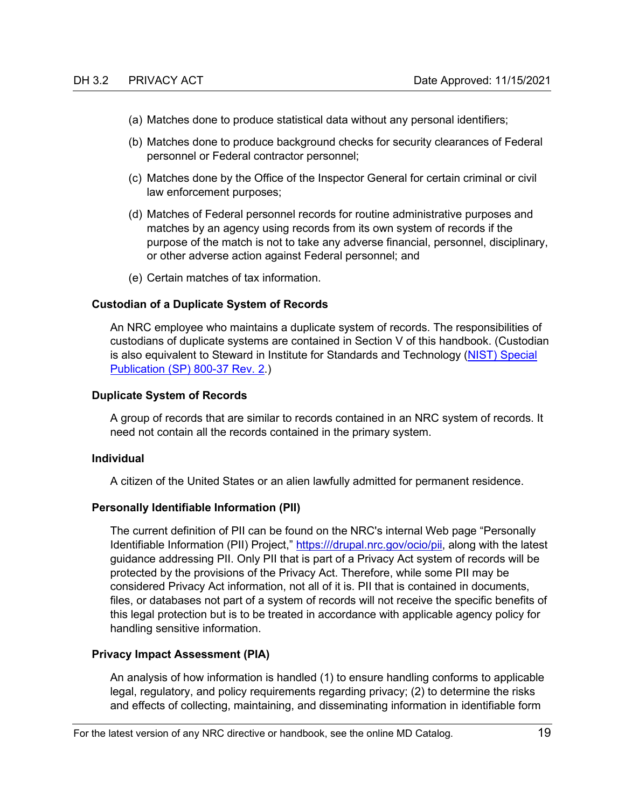- (a) Matches done to produce statistical data without any personal identifiers;
- (b) Matches done to produce background checks for security clearances of Federal personnel or Federal contractor personnel;
- (c) Matches done by the Office of the Inspector General for certain criminal or civil law enforcement purposes;
- (d) Matches of Federal personnel records for routine administrative purposes and matches by an agency using records from its own system of records if the purpose of the match is not to take any adverse financial, personnel, disciplinary, or other adverse action against Federal personnel; and
- (e) Certain matches of tax information.

#### **Custodian of a Duplicate System of Records**

An NRC employee who maintains a duplicate system of records. The responsibilities of custodians of duplicate systems are contained in Section V of this handbook. (Custodian is also equivalent to Steward in Institute for Standards and Technology (NIST) [Special](https://doi.org/10.6028/NIST.SP.800-37r2)  [Publication \(SP\) 800-37](https://doi.org/10.6028/NIST.SP.800-37r2) Rev. 2.)

#### **Duplicate System of Records**

A group of records that are similar to records contained in an NRC system of records. It need not contain all the records contained in the primary system.

#### **Individual**

A citizen of the United States or an alien lawfully admitted for permanent residence.

#### **Personally Identifiable Information (PII)**

The current definition of PII can be found on the NRC's internal Web page "Personally Identifiable Information (PII) Project," [https:///drupal.nrc.gov/ocio/pii,](https://drupal.nrc.gov/ocio/pii) along with the latest guidance addressing PII. Only PII that is part of a Privacy Act system of records will be protected by the provisions of the Privacy Act. Therefore, while some PII may be considered Privacy Act information, not all of it is. PII that is contained in documents, files, or databases not part of a system of records will not receive the specific benefits of this legal protection but is to be treated in accordance with applicable agency policy for handling sensitive information.

#### **Privacy Impact Assessment (PIA)**

An analysis of how information is handled (1) to ensure handling conforms to applicable legal, regulatory, and policy requirements regarding privacy; (2) to determine the risks and effects of collecting, maintaining, and disseminating information in identifiable form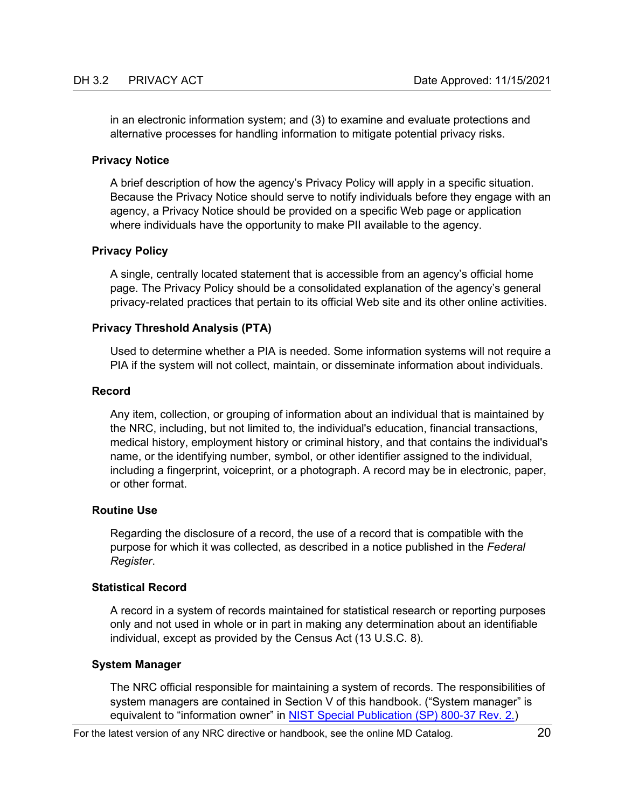in an electronic information system; and (3) to examine and evaluate protections and alternative processes for handling information to mitigate potential privacy risks.

#### **Privacy Notice**

A brief description of how the agency's Privacy Policy will apply in a specific situation. Because the Privacy Notice should serve to notify individuals before they engage with an agency, a Privacy Notice should be provided on a specific Web page or application where individuals have the opportunity to make PII available to the agency.

#### **Privacy Policy**

A single, centrally located statement that is accessible from an agency's official home page. The Privacy Policy should be a consolidated explanation of the agency's general privacy-related practices that pertain to its official Web site and its other online activities.

#### **Privacy Threshold Analysis (PTA)**

Used to determine whether a PIA is needed. Some information systems will not require a PIA if the system will not collect, maintain, or disseminate information about individuals.

#### **Record**

Any item, collection, or grouping of information about an individual that is maintained by the NRC, including, but not limited to, the individual's education, financial transactions, medical history, employment history or criminal history, and that contains the individual's name, or the identifying number, symbol, or other identifier assigned to the individual, including a fingerprint, voiceprint, or a photograph. A record may be in electronic, paper, or other format.

#### **Routine Use**

Regarding the disclosure of a record, the use of a record that is compatible with the purpose for which it was collected, as described in a notice published in the *Federal Register*.

#### **Statistical Record**

A record in a system of records maintained for statistical research or reporting purposes only and not used in whole or in part in making any determination about an identifiable individual, except as provided by the Census Act (13 U.S.C. 8).

#### **System Manager**

The NRC official responsible for maintaining a system of records. The responsibilities of system managers are contained in Section V of this handbook. ("System manager" is equivalent to "information owner" in [NIST Special Publication \(SP\) 800-37 Rev. 2.](https://doi.org/10.6028/NIST.SP.800-37r2))